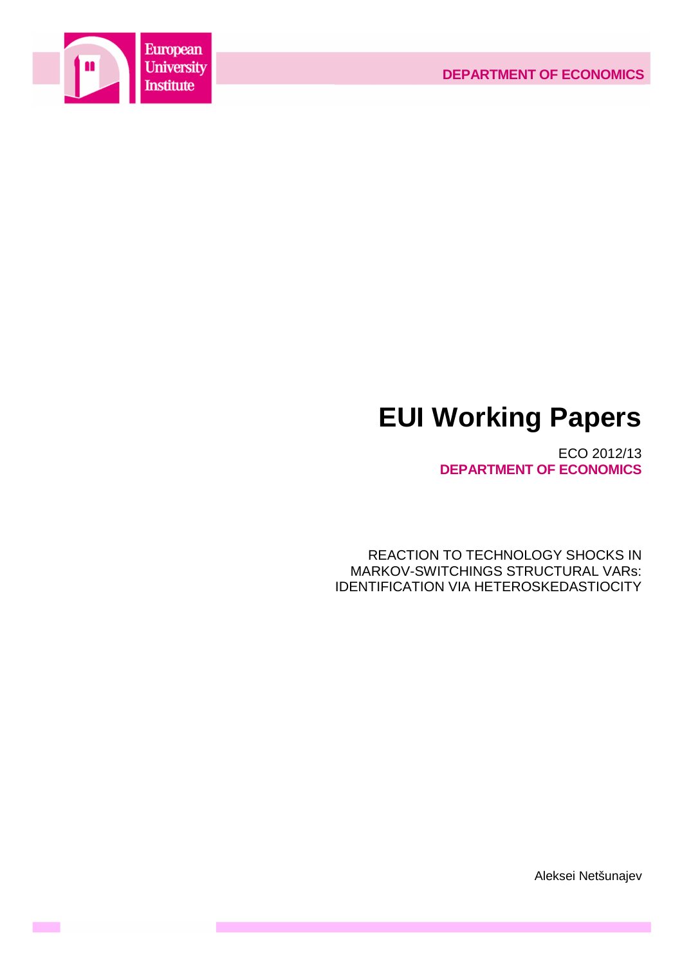

 $\mathcal{O}(\mathcal{O}_\mathcal{O})$ 

# **EUI Working Papers**

ECO 2012/13 **DEPARTMENT OF ECONOMICS**

REACTION TO TECHNOLOGY SHOCKS IN MARKOV-SWITCHINGS STRUCTURAL VARs: IDENTIFICATION VIA HETEROSKEDASTIOCITY

Aleksei Netšunajev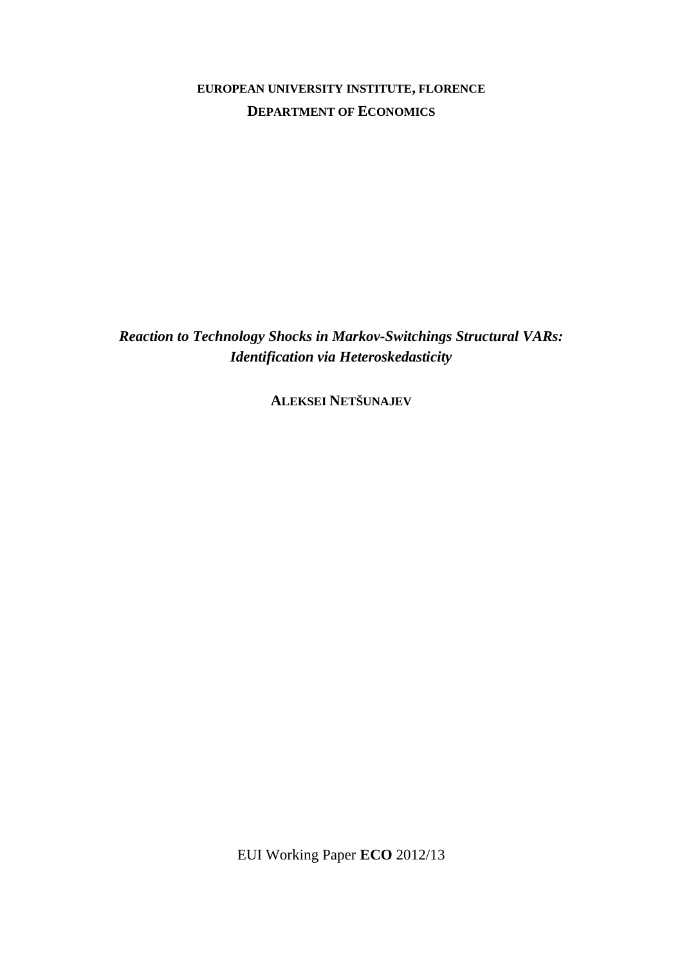**EUROPEAN UNIVERSITY INSTITUTE, FLORENCE DEPARTMENT OF ECONOMICS**

*Reaction to Technology Shocks in Markov-Switchings Structural VARs: Identification via Heteroskedasticity* 

**ALEKSEI NETŠUNAJEV**

EUI Working Paper **ECO** 2012/13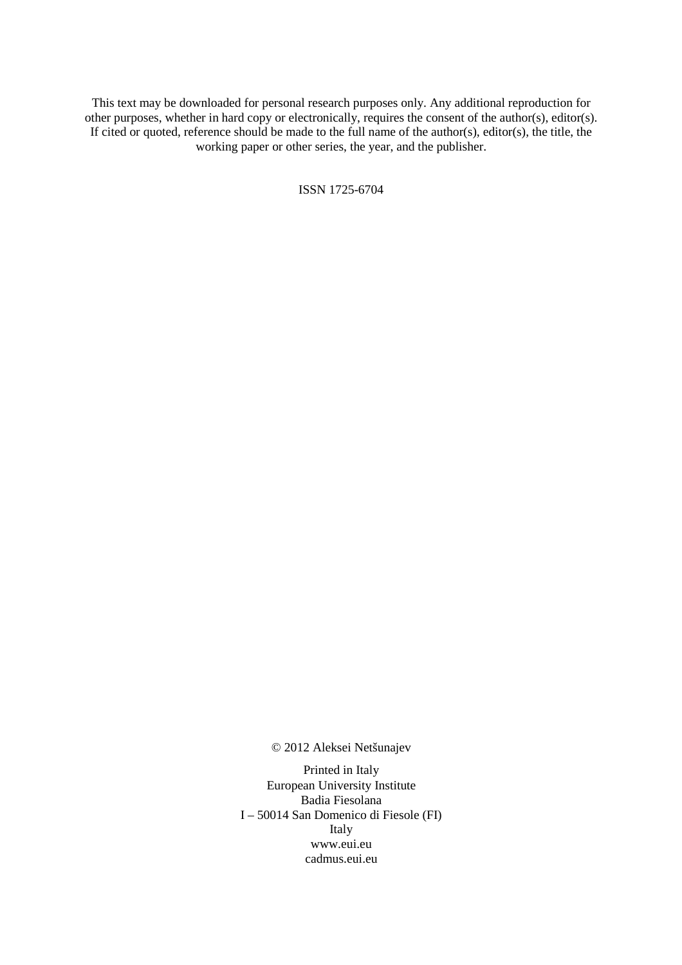This text may be downloaded for personal research purposes only. Any additional reproduction for other purposes, whether in hard copy or electronically, requires the consent of the author(s), editor(s). If cited or quoted, reference should be made to the full name of the author(s), editor(s), the title, the working paper or other series, the year, and the publisher.

ISSN 1725-6704

© 2012 Aleksei Netšunajev

Printed in Italy European University Institute Badia Fiesolana I – 50014 San Domenico di Fiesole (FI) Italy www.eui.eu cadmus.eui.eu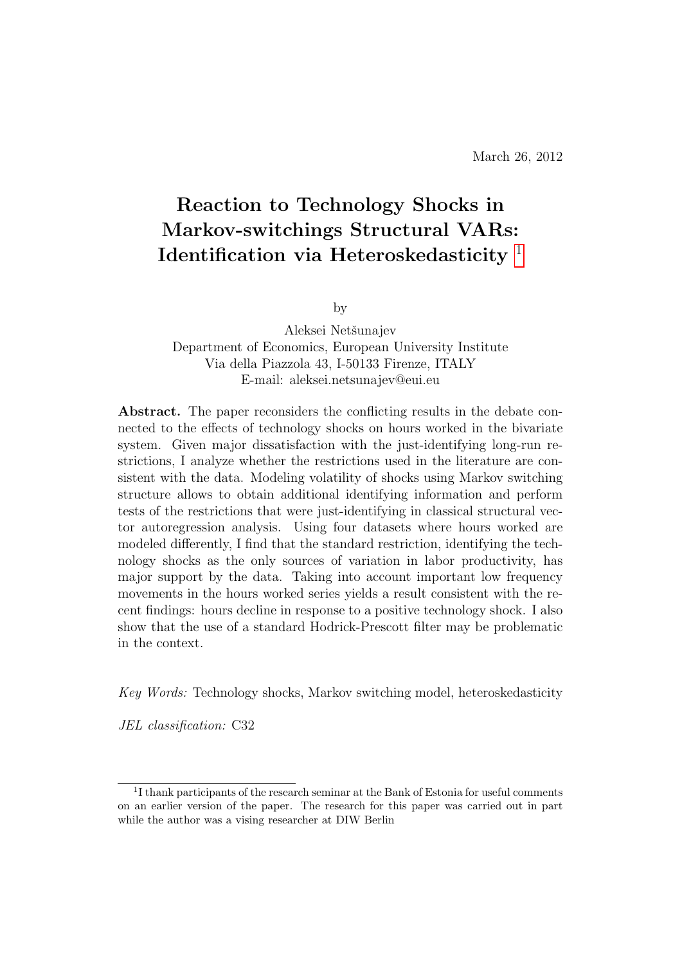# Reaction to Technology Shocks in Markov-switchings Structural VARs: Identification via Heteroskedasticity [1](#page-4-0)

by

Aleksei Netšunajev Department of Economics, European University Institute Via della Piazzola 43, I-50133 Firenze, ITALY E-mail: aleksei.netsunajev@eui.eu

Abstract. The paper reconsiders the conflicting results in the debate connected to the effects of technology shocks on hours worked in the bivariate system. Given major dissatisfaction with the just-identifying long-run restrictions, I analyze whether the restrictions used in the literature are consistent with the data. Modeling volatility of shocks using Markov switching structure allows to obtain additional identifying information and perform tests of the restrictions that were just-identifying in classical structural vector autoregression analysis. Using four datasets where hours worked are modeled differently, I find that the standard restriction, identifying the technology shocks as the only sources of variation in labor productivity, has major support by the data. Taking into account important low frequency movements in the hours worked series yields a result consistent with the recent findings: hours decline in response to a positive technology shock. I also show that the use of a standard Hodrick-Prescott filter may be problematic in the context.

Key Words: Technology shocks, Markov switching model, heteroskedasticity

JEL classification: C32

<span id="page-4-0"></span><sup>&</sup>lt;sup>1</sup>I thank participants of the research seminar at the Bank of Estonia for useful comments on an earlier version of the paper. The research for this paper was carried out in part while the author was a vising researcher at DIW Berlin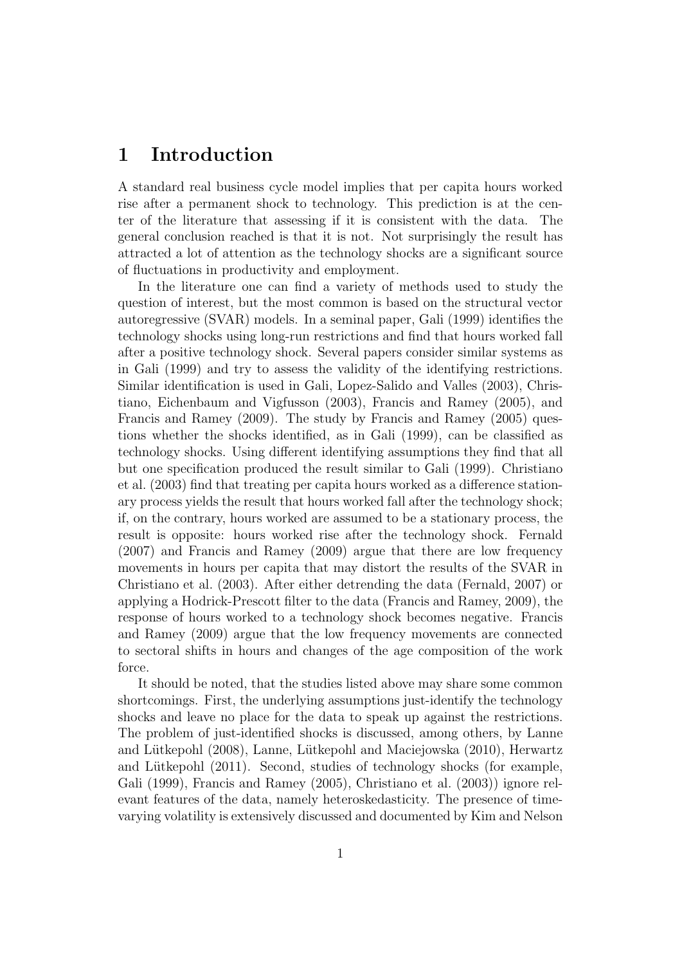# 1 Introduction

A standard real business cycle model implies that per capita hours worked rise after a permanent shock to technology. This prediction is at the center of the literature that assessing if it is consistent with the data. The general conclusion reached is that it is not. Not surprisingly the result has attracted a lot of attention as the technology shocks are a significant source of fluctuations in productivity and employment.

In the literature one can find a variety of methods used to study the question of interest, but the most common is based on the structural vector autoregressive (SVAR) models. In a seminal paper, Gali (1999) identifies the technology shocks using long-run restrictions and find that hours worked fall after a positive technology shock. Several papers consider similar systems as in Gali (1999) and try to assess the validity of the identifying restrictions. Similar identification is used in Gali, Lopez-Salido and Valles (2003), Christiano, Eichenbaum and Vigfusson (2003), Francis and Ramey (2005), and Francis and Ramey (2009). The study by Francis and Ramey (2005) questions whether the shocks identified, as in Gali (1999), can be classified as technology shocks. Using different identifying assumptions they find that all but one specification produced the result similar to Gali (1999). Christiano et al. (2003) find that treating per capita hours worked as a difference stationary process yields the result that hours worked fall after the technology shock; if, on the contrary, hours worked are assumed to be a stationary process, the result is opposite: hours worked rise after the technology shock. Fernald (2007) and Francis and Ramey (2009) argue that there are low frequency movements in hours per capita that may distort the results of the SVAR in Christiano et al. (2003). After either detrending the data (Fernald, 2007) or applying a Hodrick-Prescott filter to the data (Francis and Ramey, 2009), the response of hours worked to a technology shock becomes negative. Francis and Ramey (2009) argue that the low frequency movements are connected to sectoral shifts in hours and changes of the age composition of the work force.

It should be noted, that the studies listed above may share some common shortcomings. First, the underlying assumptions just-identify the technology shocks and leave no place for the data to speak up against the restrictions. The problem of just-identified shocks is discussed, among others, by Lanne and Lütkepohl (2008), Lanne, Lütkepohl and Maciejowska (2010), Herwartz and Lütkepohl  $(2011)$ . Second, studies of technology shocks (for example, Gali (1999), Francis and Ramey (2005), Christiano et al. (2003)) ignore relevant features of the data, namely heteroskedasticity. The presence of timevarying volatility is extensively discussed and documented by Kim and Nelson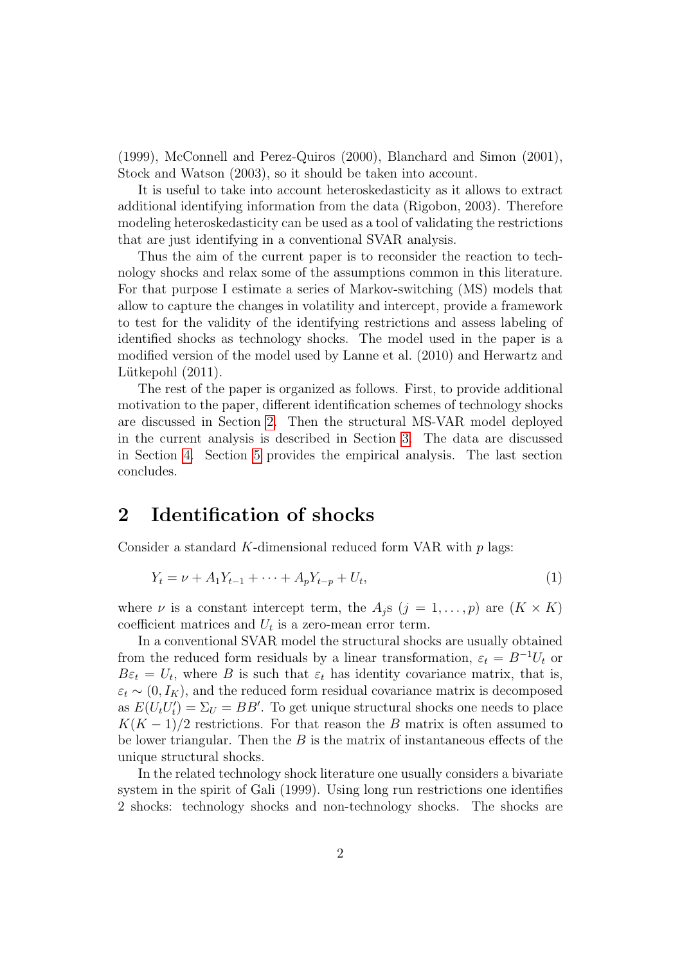(1999), McConnell and Perez-Quiros (2000), Blanchard and Simon (2001), Stock and Watson (2003), so it should be taken into account.

It is useful to take into account heteroskedasticity as it allows to extract additional identifying information from the data (Rigobon, 2003). Therefore modeling heteroskedasticity can be used as a tool of validating the restrictions that are just identifying in a conventional SVAR analysis.

Thus the aim of the current paper is to reconsider the reaction to technology shocks and relax some of the assumptions common in this literature. For that purpose I estimate a series of Markov-switching (MS) models that allow to capture the changes in volatility and intercept, provide a framework to test for the validity of the identifying restrictions and assess labeling of identified shocks as technology shocks. The model used in the paper is a modified version of the model used by Lanne et al. (2010) and Herwartz and Lütkepohl  $(2011)$ .

The rest of the paper is organized as follows. First, to provide additional motivation to the paper, different identification schemes of technology shocks are discussed in Section [2.](#page-6-0) Then the structural MS-VAR model deployed in the current analysis is described in Section [3.](#page-7-0) The data are discussed in Section [4.](#page-11-0) Section [5](#page-13-0) provides the empirical analysis. The last section concludes.

#### <span id="page-6-0"></span>2 Identification of shocks

Consider a standard K-dimensional reduced form VAR with  $p$  lags:

$$
Y_t = \nu + A_1 Y_{t-1} + \dots + A_p Y_{t-p} + U_t,
$$
\n(1)

where  $\nu$  is a constant intercept term, the  $A_i$ s  $(j = 1, \ldots, p)$  are  $(K \times K)$ coefficient matrices and  $U_t$  is a zero-mean error term.

In a conventional SVAR model the structural shocks are usually obtained from the reduced form residuals by a linear transformation,  $\varepsilon_t = B^{-1}U_t$  or  $B\varepsilon_t = U_t$ , where B is such that  $\varepsilon_t$  has identity covariance matrix, that is,  $\varepsilon_t \sim (0, I_K)$ , and the reduced form residual covariance matrix is decomposed as  $E(U_t U'_t) = \Sigma_U = BB'$ . To get unique structural shocks one needs to place  $K(K-1)/2$  restrictions. For that reason the B matrix is often assumed to be lower triangular. Then the  $B$  is the matrix of instantaneous effects of the unique structural shocks.

In the related technology shock literature one usually considers a bivariate system in the spirit of Gali (1999). Using long run restrictions one identifies 2 shocks: technology shocks and non-technology shocks. The shocks are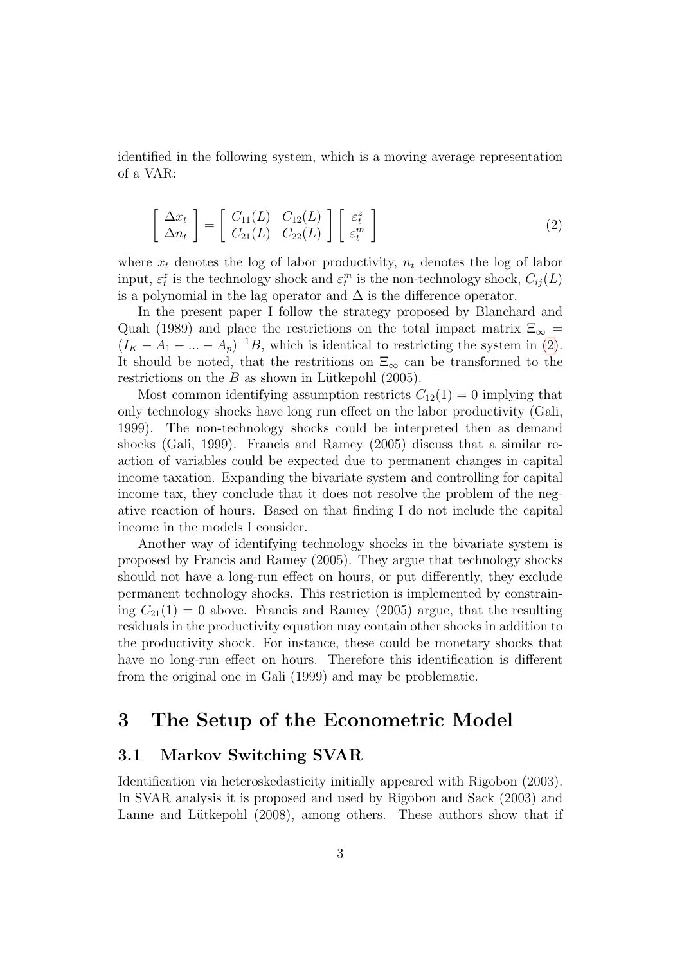<span id="page-7-1"></span>identified in the following system, which is a moving average representation of a VAR:

$$
\begin{bmatrix}\n\Delta x_t \\
\Delta n_t\n\end{bmatrix} = \begin{bmatrix}\nC_{11}(L) & C_{12}(L) \\
C_{21}(L) & C_{22}(L)\n\end{bmatrix} \begin{bmatrix}\n\varepsilon_t^z \\
\varepsilon_t^m\n\end{bmatrix}
$$
\n(2)

where  $x_t$  denotes the log of labor productivity,  $n_t$  denotes the log of labor input,  $\varepsilon_t^z$  is the technology shock and  $\varepsilon_t^m$  is the non-technology shock,  $C_{ij}(L)$ is a polynomial in the lag operator and  $\Delta$  is the difference operator.

In the present paper I follow the strategy proposed by Blanchard and Quah (1989) and place the restrictions on the total impact matrix  $\Xi_{\infty}$  =  $(I_K - A_1 - ... - A_p)^{-1}B$ , which is identical to restricting the system in [\(2\)](#page-7-1). It should be noted, that the restritions on  $\Xi_{\infty}$  can be transformed to the restrictions on the  $B$  as shown in Lütkepohl (2005).

Most common identifying assumption restricts  $C_{12}(1) = 0$  implying that only technology shocks have long run effect on the labor productivity (Gali, 1999). The non-technology shocks could be interpreted then as demand shocks (Gali, 1999). Francis and Ramey (2005) discuss that a similar reaction of variables could be expected due to permanent changes in capital income taxation. Expanding the bivariate system and controlling for capital income tax, they conclude that it does not resolve the problem of the negative reaction of hours. Based on that finding I do not include the capital income in the models I consider.

Another way of identifying technology shocks in the bivariate system is proposed by Francis and Ramey (2005). They argue that technology shocks should not have a long-run effect on hours, or put differently, they exclude permanent technology shocks. This restriction is implemented by constraining  $C_{21}(1) = 0$  above. Francis and Ramey (2005) argue, that the resulting residuals in the productivity equation may contain other shocks in addition to the productivity shock. For instance, these could be monetary shocks that have no long-run effect on hours. Therefore this identification is different from the original one in Gali (1999) and may be problematic.

## <span id="page-7-0"></span>3 The Setup of the Econometric Model

#### 3.1 Markov Switching SVAR

Identification via heteroskedasticity initially appeared with Rigobon (2003). In SVAR analysis it is proposed and used by Rigobon and Sack (2003) and Lanne and Lütkepohl (2008), among others. These authors show that if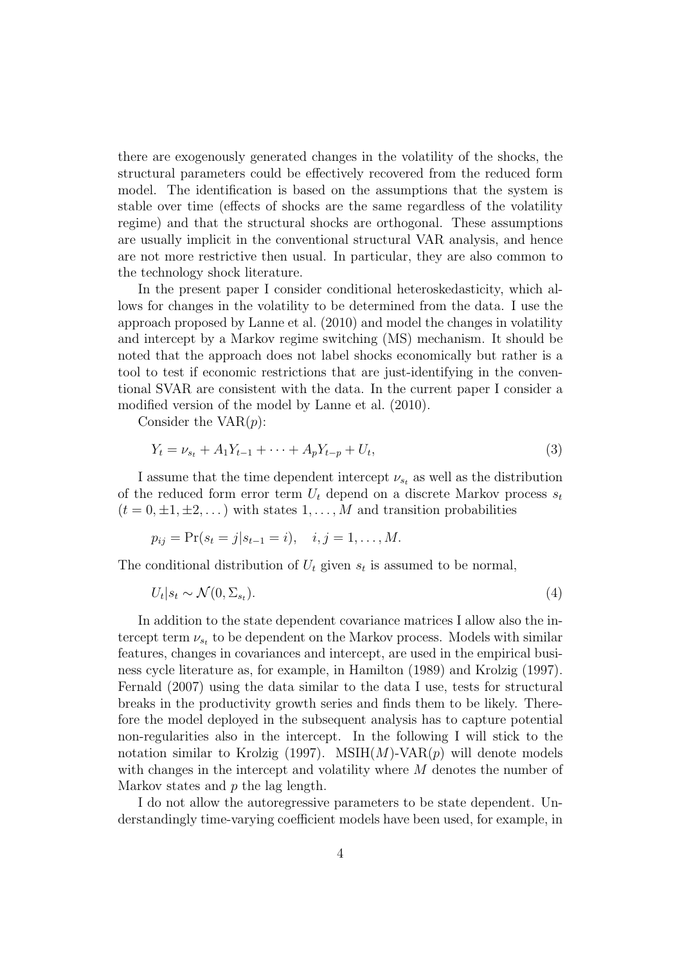there are exogenously generated changes in the volatility of the shocks, the structural parameters could be effectively recovered from the reduced form model. The identification is based on the assumptions that the system is stable over time (effects of shocks are the same regardless of the volatility regime) and that the structural shocks are orthogonal. These assumptions are usually implicit in the conventional structural VAR analysis, and hence are not more restrictive then usual. In particular, they are also common to the technology shock literature.

In the present paper I consider conditional heteroskedasticity, which allows for changes in the volatility to be determined from the data. I use the approach proposed by Lanne et al. (2010) and model the changes in volatility and intercept by a Markov regime switching (MS) mechanism. It should be noted that the approach does not label shocks economically but rather is a tool to test if economic restrictions that are just-identifying in the conventional SVAR are consistent with the data. In the current paper I consider a modified version of the model by Lanne et al. (2010).

Consider the  $VAR(p)$ :

$$
Y_t = \nu_{s_t} + A_1 Y_{t-1} + \dots + A_p Y_{t-p} + U_t,
$$
\n(3)

I assume that the time dependent intercept  $\nu_{s_t}$  as well as the distribution of the reduced form error term  $U_t$  depend on a discrete Markov process  $s_t$  $(t = 0, \pm 1, \pm 2, ...)$  with states  $1, \ldots, M$  and transition probabilities

$$
p_{ij} = Pr(s_t = j | s_{t-1} = i), \quad i, j = 1, ..., M.
$$

The conditional distribution of  $U_t$  given  $s_t$  is assumed to be normal,

$$
U_t|s_t \sim \mathcal{N}(0, \Sigma_{s_t}).
$$
\n<sup>(4)</sup>

In addition to the state dependent covariance matrices I allow also the intercept term  $\nu_{s_t}$  to be dependent on the Markov process. Models with similar features, changes in covariances and intercept, are used in the empirical business cycle literature as, for example, in Hamilton (1989) and Krolzig (1997). Fernald (2007) using the data similar to the data I use, tests for structural breaks in the productivity growth series and finds them to be likely. Therefore the model deployed in the subsequent analysis has to capture potential non-regularities also in the intercept. In the following I will stick to the notation similar to Krolzig (1997). MSIH $(M)$ -VAR $(p)$  will denote models with changes in the intercept and volatility where M denotes the number of Markov states and  $p$  the lag length.

I do not allow the autoregressive parameters to be state dependent. Understandingly time-varying coefficient models have been used, for example, in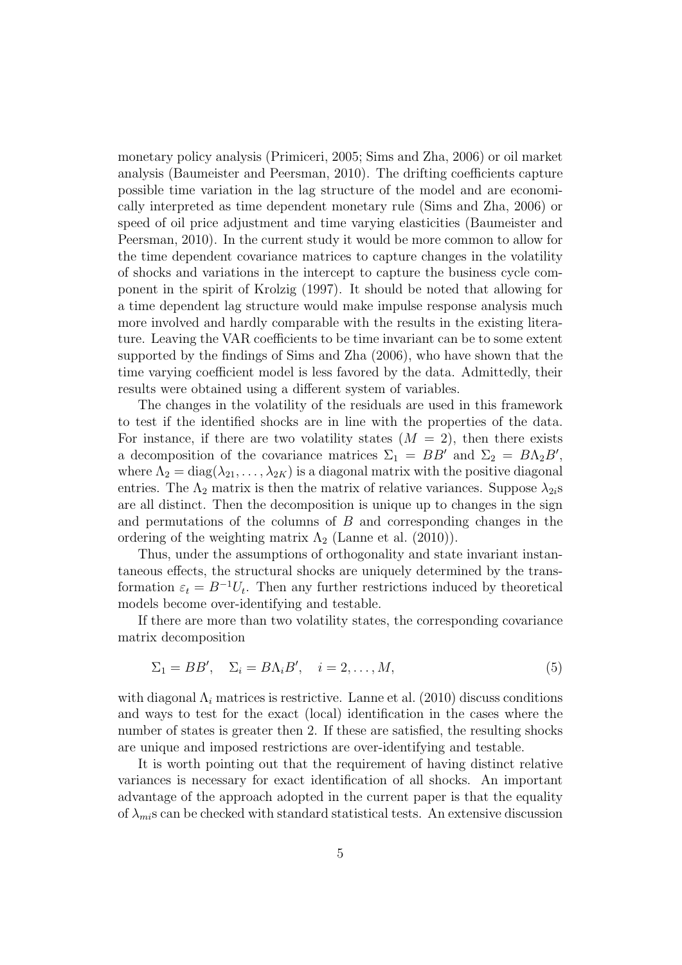monetary policy analysis (Primiceri, 2005; Sims and Zha, 2006) or oil market analysis (Baumeister and Peersman, 2010). The drifting coefficients capture possible time variation in the lag structure of the model and are economically interpreted as time dependent monetary rule (Sims and Zha, 2006) or speed of oil price adjustment and time varying elasticities (Baumeister and Peersman, 2010). In the current study it would be more common to allow for the time dependent covariance matrices to capture changes in the volatility of shocks and variations in the intercept to capture the business cycle component in the spirit of Krolzig (1997). It should be noted that allowing for a time dependent lag structure would make impulse response analysis much more involved and hardly comparable with the results in the existing literature. Leaving the VAR coefficients to be time invariant can be to some extent supported by the findings of Sims and Zha (2006), who have shown that the time varying coefficient model is less favored by the data. Admittedly, their results were obtained using a different system of variables.

The changes in the volatility of the residuals are used in this framework to test if the identified shocks are in line with the properties of the data. For instance, if there are two volatility states  $(M = 2)$ , then there exists a decomposition of the covariance matrices  $\Sigma_1 = BB'$  and  $\Sigma_2 = BA_2B'$ , where  $\Lambda_2 = \text{diag}(\lambda_{21}, \ldots, \lambda_{2K})$  is a diagonal matrix with the positive diagonal entries. The  $\Lambda_2$  matrix is then the matrix of relative variances. Suppose  $\lambda_{2i}$ s are all distinct. Then the decomposition is unique up to changes in the sign and permutations of the columns of  $B$  and corresponding changes in the ordering of the weighting matrix  $\Lambda_2$  (Lanne et al. (2010)).

Thus, under the assumptions of orthogonality and state invariant instantaneous effects, the structural shocks are uniquely determined by the transformation  $\varepsilon_t = B^{-1}U_t$ . Then any further restrictions induced by theoretical models become over-identifying and testable.

If there are more than two volatility states, the corresponding covariance matrix decomposition

$$
\Sigma_1 = BB', \quad \Sigma_i = B\Lambda_i B', \quad i = 2, \dots, M,
$$
\n(5)

with diagonal  $\Lambda_i$  matrices is restrictive. Lanne et al. (2010) discuss conditions and ways to test for the exact (local) identification in the cases where the number of states is greater then 2. If these are satisfied, the resulting shocks are unique and imposed restrictions are over-identifying and testable.

It is worth pointing out that the requirement of having distinct relative variances is necessary for exact identification of all shocks. An important advantage of the approach adopted in the current paper is that the equality of  $\lambda_{mi}$ s can be checked with standard statistical tests. An extensive discussion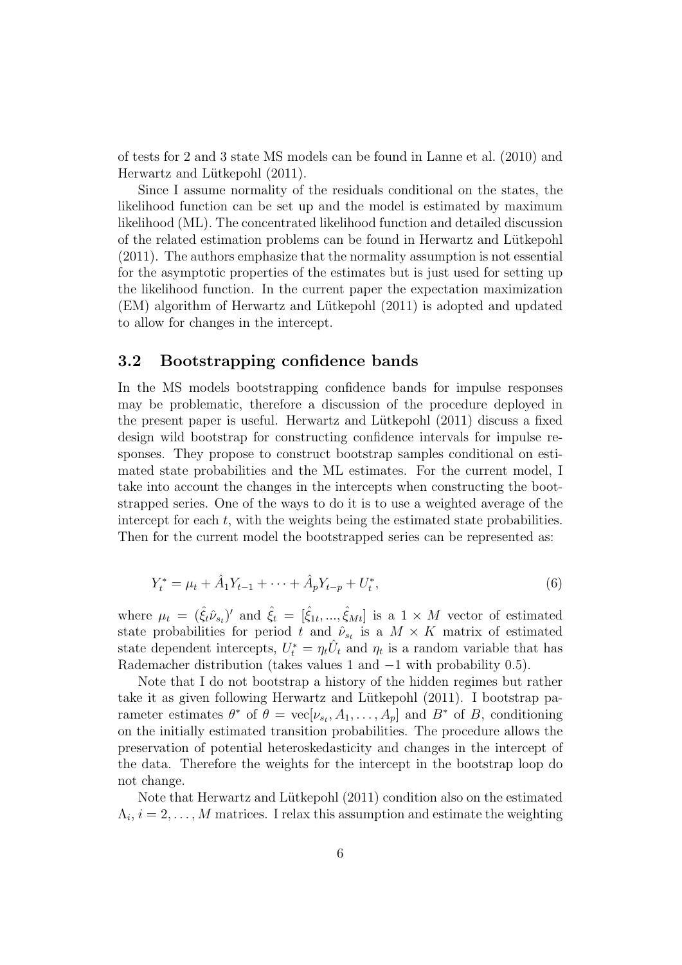of tests for 2 and 3 state MS models can be found in Lanne et al. (2010) and Herwartz and Lütkepohl  $(2011)$ .

Since I assume normality of the residuals conditional on the states, the likelihood function can be set up and the model is estimated by maximum likelihood (ML). The concentrated likelihood function and detailed discussion of the related estimation problems can be found in Herwartz and L¨utkepohl (2011). The authors emphasize that the normality assumption is not essential for the asymptotic properties of the estimates but is just used for setting up the likelihood function. In the current paper the expectation maximization (EM) algorithm of Herwartz and Lütkepohl (2011) is adopted and updated to allow for changes in the intercept.

#### 3.2 Bootstrapping confidence bands

In the MS models bootstrapping confidence bands for impulse responses may be problematic, therefore a discussion of the procedure deployed in the present paper is useful. Herwartz and Lütkepohl  $(2011)$  discuss a fixed design wild bootstrap for constructing confidence intervals for impulse responses. They propose to construct bootstrap samples conditional on estimated state probabilities and the ML estimates. For the current model, I take into account the changes in the intercepts when constructing the bootstrapped series. One of the ways to do it is to use a weighted average of the intercept for each  $t$ , with the weights being the estimated state probabilities. Then for the current model the bootstrapped series can be represented as:

$$
Y_t^* = \mu_t + \hat{A}_1 Y_{t-1} + \dots + \hat{A}_p Y_{t-p} + U_t^*,
$$
\n(6)

where  $\mu_t = (\hat{\xi}_t \hat{\nu}_{s_t})'$  and  $\hat{\xi}_t = [\hat{\xi}_{1t}, ..., \hat{\xi}_{Mt}]$  is a  $1 \times M$  vector of estimated state probabilities for period t and  $\hat{\nu}_{s_t}$  is a  $M \times K$  matrix of estimated state dependent intercepts,  $U_t^* = \eta_t \hat{U}_t$  and  $\eta_t$  is a random variable that has Rademacher distribution (takes values 1 and −1 with probability 0.5).

Note that I do not bootstrap a history of the hidden regimes but rather take it as given following Herwartz and Lütkepohl (2011). I bootstrap parameter estimates  $\theta^*$  of  $\theta = \text{vec}[\nu_{s_t}, A_1, \dots, A_p]$  and  $B^*$  of B, conditioning on the initially estimated transition probabilities. The procedure allows the preservation of potential heteroskedasticity and changes in the intercept of the data. Therefore the weights for the intercept in the bootstrap loop do not change.

Note that Herwartz and Lütkepohl (2011) condition also on the estimated  $\Lambda_i, i = 2, \ldots, M$  matrices. I relax this assumption and estimate the weighting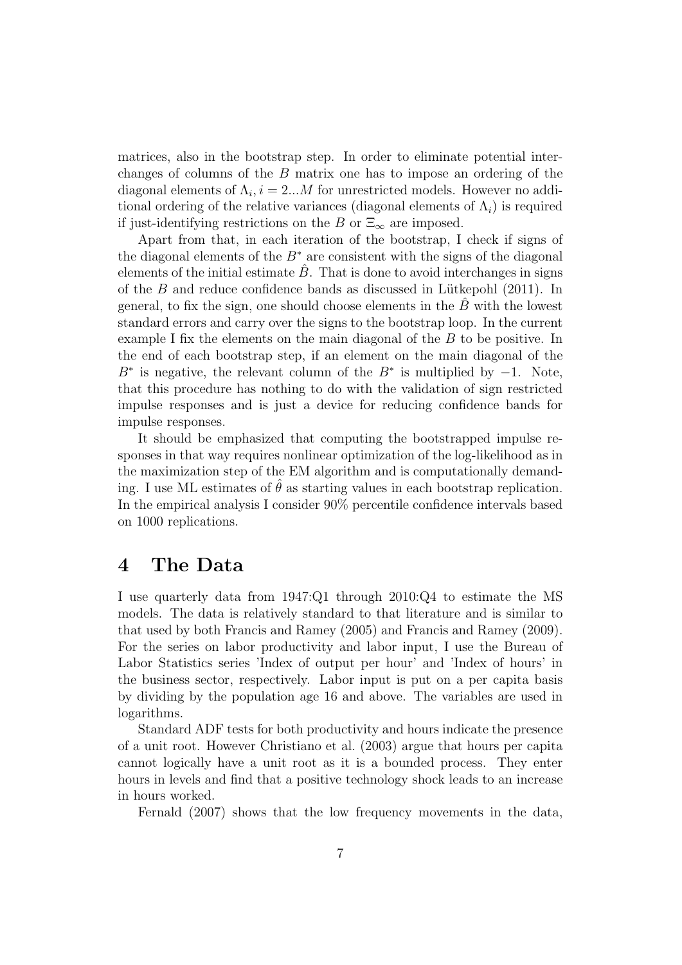matrices, also in the bootstrap step. In order to eliminate potential interchanges of columns of the B matrix one has to impose an ordering of the diagonal elements of  $\Lambda_i$ ,  $i = 2...M$  for unrestricted models. However no additional ordering of the relative variances (diagonal elements of  $\Lambda_i$ ) is required if just-identifying restrictions on the B or  $\Xi_{\infty}$  are imposed.

Apart from that, in each iteration of the bootstrap, I check if signs of the diagonal elements of the  $B^*$  are consistent with the signs of the diagonal elements of the initial estimate  $\hat{B}$ . That is done to avoid interchanges in signs of the  $B$  and reduce confidence bands as discussed in Lütkepohl  $(2011)$ . In general, to fix the sign, one should choose elements in the  $B$  with the lowest standard errors and carry over the signs to the bootstrap loop. In the current example I fix the elements on the main diagonal of the B to be positive. In the end of each bootstrap step, if an element on the main diagonal of the  $B^*$  is negative, the relevant column of the  $B^*$  is multiplied by  $-1$ . Note, that this procedure has nothing to do with the validation of sign restricted impulse responses and is just a device for reducing confidence bands for impulse responses.

It should be emphasized that computing the bootstrapped impulse responses in that way requires nonlinear optimization of the log-likelihood as in the maximization step of the EM algorithm and is computationally demanding. I use ML estimates of  $\hat{\theta}$  as starting values in each bootstrap replication. In the empirical analysis I consider 90% percentile confidence intervals based on 1000 replications.

#### <span id="page-11-0"></span>4 The Data

I use quarterly data from 1947:Q1 through 2010:Q4 to estimate the MS models. The data is relatively standard to that literature and is similar to that used by both Francis and Ramey (2005) and Francis and Ramey (2009). For the series on labor productivity and labor input, I use the Bureau of Labor Statistics series 'Index of output per hour' and 'Index of hours' in the business sector, respectively. Labor input is put on a per capita basis by dividing by the population age 16 and above. The variables are used in logarithms.

Standard ADF tests for both productivity and hours indicate the presence of a unit root. However Christiano et al. (2003) argue that hours per capita cannot logically have a unit root as it is a bounded process. They enter hours in levels and find that a positive technology shock leads to an increase in hours worked.

Fernald (2007) shows that the low frequency movements in the data,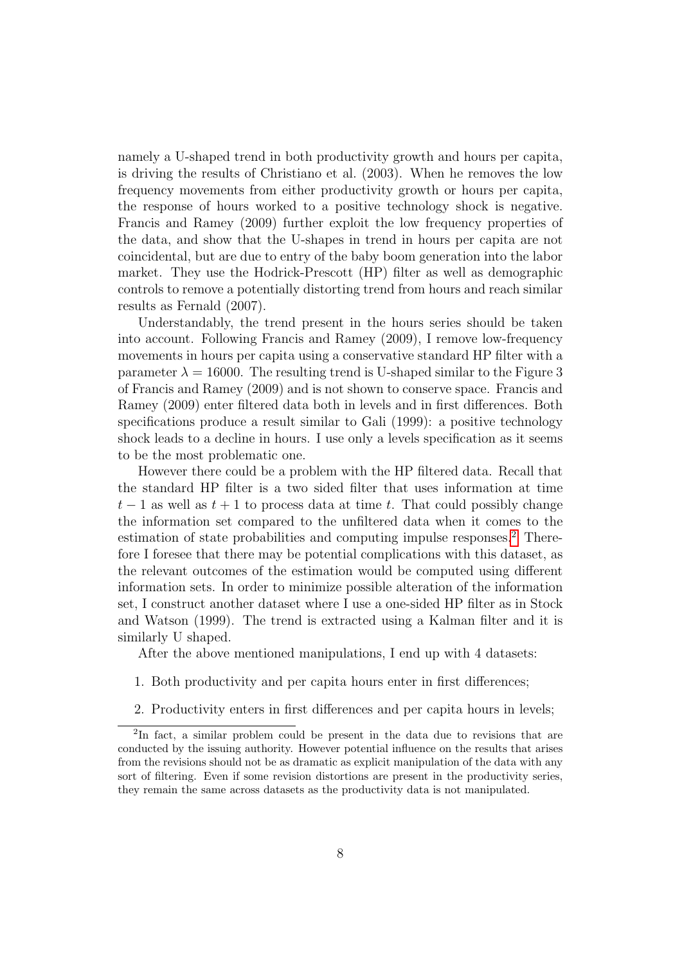namely a U-shaped trend in both productivity growth and hours per capita, is driving the results of Christiano et al. (2003). When he removes the low frequency movements from either productivity growth or hours per capita, the response of hours worked to a positive technology shock is negative. Francis and Ramey (2009) further exploit the low frequency properties of the data, and show that the U-shapes in trend in hours per capita are not coincidental, but are due to entry of the baby boom generation into the labor market. They use the Hodrick-Prescott (HP) filter as well as demographic controls to remove a potentially distorting trend from hours and reach similar results as Fernald (2007).

Understandably, the trend present in the hours series should be taken into account. Following Francis and Ramey (2009), I remove low-frequency movements in hours per capita using a conservative standard HP filter with a parameter  $\lambda = 16000$ . The resulting trend is U-shaped similar to the Figure 3 of Francis and Ramey (2009) and is not shown to conserve space. Francis and Ramey (2009) enter filtered data both in levels and in first differences. Both specifications produce a result similar to Gali (1999): a positive technology shock leads to a decline in hours. I use only a levels specification as it seems to be the most problematic one.

However there could be a problem with the HP filtered data. Recall that the standard HP filter is a two sided filter that uses information at time  $t-1$  as well as  $t+1$  to process data at time t. That could possibly change the information set compared to the unfiltered data when it comes to the estimation of state probabilities and computing impulse responses.<sup>[2](#page-12-0)</sup> Therefore I foresee that there may be potential complications with this dataset, as the relevant outcomes of the estimation would be computed using different information sets. In order to minimize possible alteration of the information set, I construct another dataset where I use a one-sided HP filter as in Stock and Watson (1999). The trend is extracted using a Kalman filter and it is similarly U shaped.

After the above mentioned manipulations, I end up with 4 datasets:

- 1. Both productivity and per capita hours enter in first differences;
- <span id="page-12-0"></span>2. Productivity enters in first differences and per capita hours in levels;

<sup>&</sup>lt;sup>2</sup>In fact, a similar problem could be present in the data due to revisions that are conducted by the issuing authority. However potential influence on the results that arises from the revisions should not be as dramatic as explicit manipulation of the data with any sort of filtering. Even if some revision distortions are present in the productivity series, they remain the same across datasets as the productivity data is not manipulated.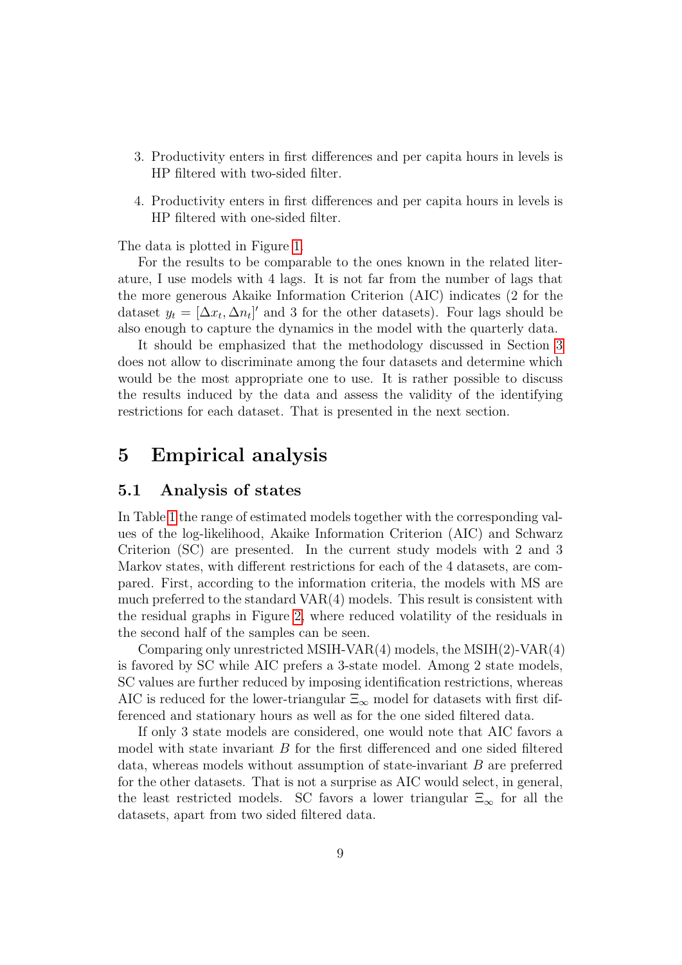- 3. Productivity enters in first differences and per capita hours in levels is HP filtered with two-sided filter.
- 4. Productivity enters in first differences and per capita hours in levels is HP filtered with one-sided filter.

The data is plotted in Figure [1.](#page-26-0)

For the results to be comparable to the ones known in the related literature, I use models with 4 lags. It is not far from the number of lags that the more generous Akaike Information Criterion (AIC) indicates (2 for the dataset  $y_t = [\Delta x_t, \Delta n_t]'$  and 3 for the other datasets). Four lags should be also enough to capture the dynamics in the model with the quarterly data.

It should be emphasized that the methodology discussed in Section [3](#page-7-0) does not allow to discriminate among the four datasets and determine which would be the most appropriate one to use. It is rather possible to discuss the results induced by the data and assess the validity of the identifying restrictions for each dataset. That is presented in the next section.

## <span id="page-13-0"></span>5 Empirical analysis

#### 5.1 Analysis of states

In Table [1](#page-24-0) the range of estimated models together with the corresponding values of the log-likelihood, Akaike Information Criterion (AIC) and Schwarz Criterion (SC) are presented. In the current study models with 2 and 3 Markov states, with different restrictions for each of the 4 datasets, are compared. First, according to the information criteria, the models with MS are much preferred to the standard VAR(4) models. This result is consistent with the residual graphs in Figure [2,](#page-26-1) where reduced volatility of the residuals in the second half of the samples can be seen.

Comparing only unrestricted MSIH-VAR(4) models, the MSIH(2)-VAR(4) is favored by SC while AIC prefers a 3-state model. Among 2 state models, SC values are further reduced by imposing identification restrictions, whereas AIC is reduced for the lower-triangular  $\Xi_{\infty}$  model for datasets with first differenced and stationary hours as well as for the one sided filtered data.

If only 3 state models are considered, one would note that AIC favors a model with state invariant  $B$  for the first differenced and one sided filtered data, whereas models without assumption of state-invariant B are preferred for the other datasets. That is not a surprise as AIC would select, in general, the least restricted models. SC favors a lower triangular  $\Xi_{\infty}$  for all the datasets, apart from two sided filtered data.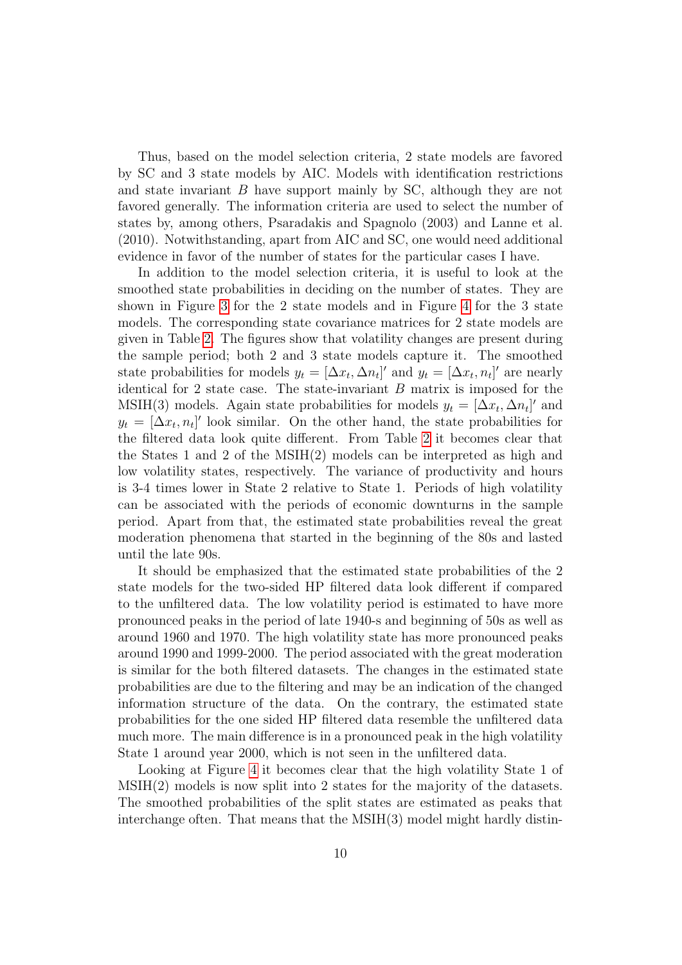Thus, based on the model selection criteria, 2 state models are favored by SC and 3 state models by AIC. Models with identification restrictions and state invariant B have support mainly by SC, although they are not favored generally. The information criteria are used to select the number of states by, among others, Psaradakis and Spagnolo (2003) and Lanne et al. (2010). Notwithstanding, apart from AIC and SC, one would need additional evidence in favor of the number of states for the particular cases I have.

In addition to the model selection criteria, it is useful to look at the smoothed state probabilities in deciding on the number of states. They are shown in Figure [3](#page-27-0) for the 2 state models and in Figure [4](#page-28-0) for the 3 state models. The corresponding state covariance matrices for 2 state models are given in Table [2.](#page-24-1) The figures show that volatility changes are present during the sample period; both 2 and 3 state models capture it. The smoothed state probabilities for models  $y_t = [\Delta x_t, \Delta n_t]'$  and  $y_t = [\Delta x_t, n_t]'$  are nearly identical for 2 state case. The state-invariant  $B$  matrix is imposed for the MSIH(3) models. Again state probabilities for models  $y_t = [\Delta x_t, \Delta n_t]'$  and  $y_t = [\Delta x_t, n_t]'$  look similar. On the other hand, the state probabilities for the filtered data look quite different. From Table [2](#page-24-1) it becomes clear that the States 1 and 2 of the MSIH(2) models can be interpreted as high and low volatility states, respectively. The variance of productivity and hours is 3-4 times lower in State 2 relative to State 1. Periods of high volatility can be associated with the periods of economic downturns in the sample period. Apart from that, the estimated state probabilities reveal the great moderation phenomena that started in the beginning of the 80s and lasted until the late 90s.

It should be emphasized that the estimated state probabilities of the 2 state models for the two-sided HP filtered data look different if compared to the unfiltered data. The low volatility period is estimated to have more pronounced peaks in the period of late 1940-s and beginning of 50s as well as around 1960 and 1970. The high volatility state has more pronounced peaks around 1990 and 1999-2000. The period associated with the great moderation is similar for the both filtered datasets. The changes in the estimated state probabilities are due to the filtering and may be an indication of the changed information structure of the data. On the contrary, the estimated state probabilities for the one sided HP filtered data resemble the unfiltered data much more. The main difference is in a pronounced peak in the high volatility State 1 around year 2000, which is not seen in the unfiltered data.

Looking at Figure [4](#page-28-0) it becomes clear that the high volatility State 1 of MSIH(2) models is now split into 2 states for the majority of the datasets. The smoothed probabilities of the split states are estimated as peaks that interchange often. That means that the MSIH(3) model might hardly distin-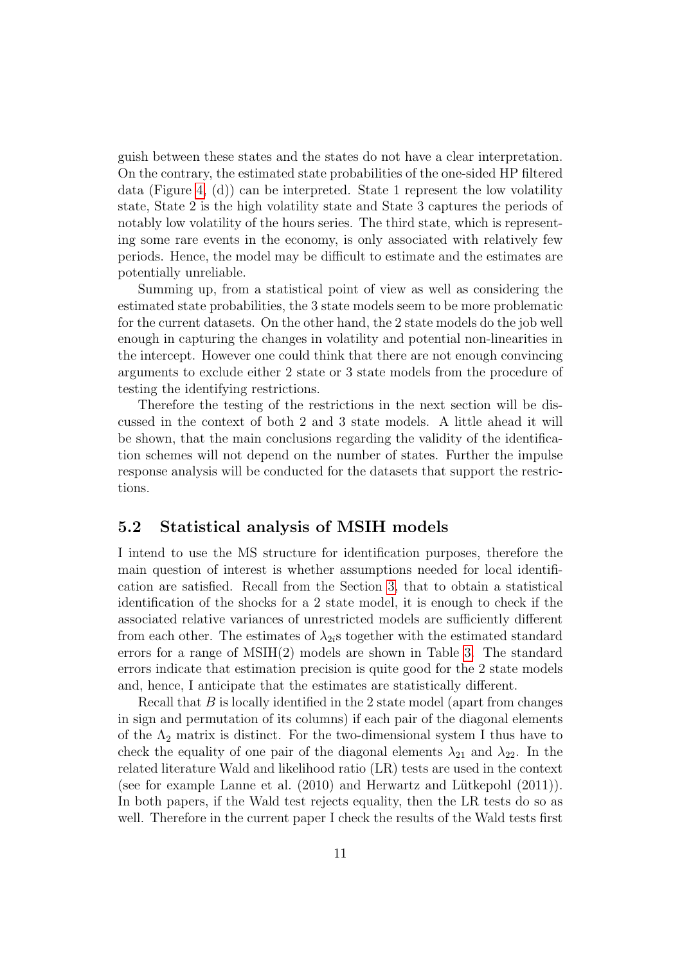guish between these states and the states do not have a clear interpretation. On the contrary, the estimated state probabilities of the one-sided HP filtered data (Figure [4,](#page-28-0)  $(d)$ ) can be interpreted. State 1 represent the low volatility state, State 2 is the high volatility state and State 3 captures the periods of notably low volatility of the hours series. The third state, which is representing some rare events in the economy, is only associated with relatively few periods. Hence, the model may be difficult to estimate and the estimates are potentially unreliable.

Summing up, from a statistical point of view as well as considering the estimated state probabilities, the 3 state models seem to be more problematic for the current datasets. On the other hand, the 2 state models do the job well enough in capturing the changes in volatility and potential non-linearities in the intercept. However one could think that there are not enough convincing arguments to exclude either 2 state or 3 state models from the procedure of testing the identifying restrictions.

Therefore the testing of the restrictions in the next section will be discussed in the context of both 2 and 3 state models. A little ahead it will be shown, that the main conclusions regarding the validity of the identification schemes will not depend on the number of states. Further the impulse response analysis will be conducted for the datasets that support the restrictions.

#### 5.2 Statistical analysis of MSIH models

I intend to use the MS structure for identification purposes, therefore the main question of interest is whether assumptions needed for local identification are satisfied. Recall from the Section [3,](#page-7-0) that to obtain a statistical identification of the shocks for a 2 state model, it is enough to check if the associated relative variances of unrestricted models are sufficiently different from each other. The estimates of  $\lambda_{2i}$ s together with the estimated standard errors for a range of MSIH(2) models are shown in Table [3.](#page-25-0) The standard errors indicate that estimation precision is quite good for the 2 state models and, hence, I anticipate that the estimates are statistically different.

Recall that  $B$  is locally identified in the 2 state model (apart from changes in sign and permutation of its columns) if each pair of the diagonal elements of the  $\Lambda_2$  matrix is distinct. For the two-dimensional system I thus have to check the equality of one pair of the diagonal elements  $\lambda_{21}$  and  $\lambda_{22}$ . In the related literature Wald and likelihood ratio (LR) tests are used in the context (see for example Lanne et al.  $(2010)$  and Herwartz and Lütkepohl  $(2011)$ ). In both papers, if the Wald test rejects equality, then the LR tests do so as well. Therefore in the current paper I check the results of the Wald tests first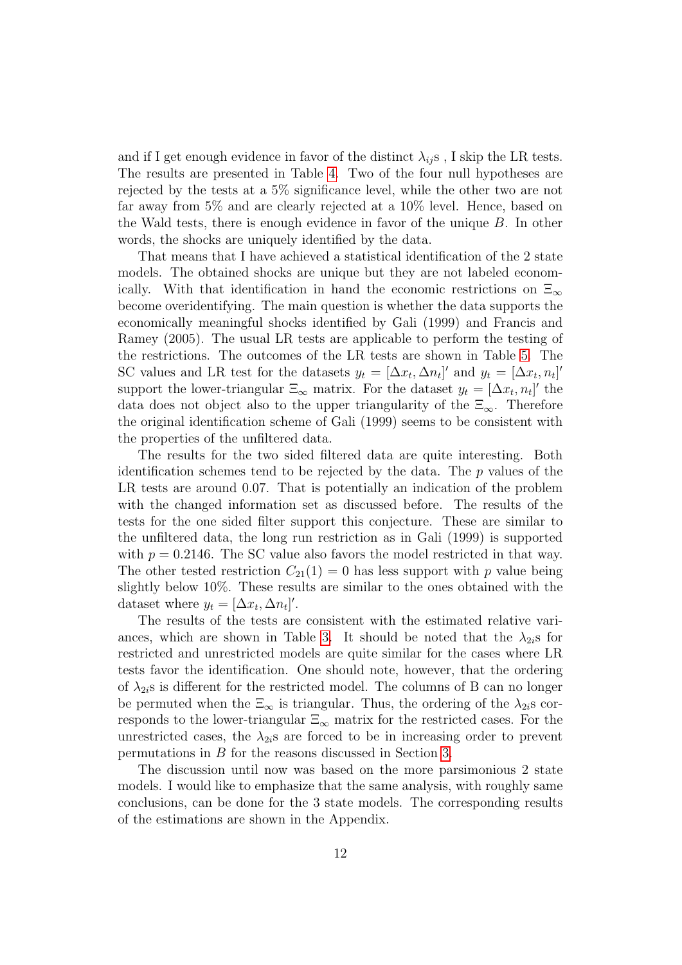and if I get enough evidence in favor of the distinct  $\lambda_{ij}$ s, I skip the LR tests. The results are presented in Table [4.](#page-25-1) Two of the four null hypotheses are rejected by the tests at a 5% significance level, while the other two are not far away from 5% and are clearly rejected at a 10% level. Hence, based on the Wald tests, there is enough evidence in favor of the unique B. In other words, the shocks are uniquely identified by the data.

That means that I have achieved a statistical identification of the 2 state models. The obtained shocks are unique but they are not labeled economically. With that identification in hand the economic restrictions on  $\Xi_{\infty}$ become overidentifying. The main question is whether the data supports the economically meaningful shocks identified by Gali (1999) and Francis and Ramey (2005). The usual LR tests are applicable to perform the testing of the restrictions. The outcomes of the LR tests are shown in Table [5.](#page-25-2) The SC values and LR test for the datasets  $y_t = [\Delta x_t, \Delta n_t]'$  and  $y_t = [\Delta x_t, n_t]'$ support the lower-triangular  $\Xi_{\infty}$  matrix. For the dataset  $y_t = [\Delta x_t, n_t]'$  the data does not object also to the upper triangularity of the  $\Xi_{\infty}$ . Therefore the original identification scheme of Gali (1999) seems to be consistent with the properties of the unfiltered data.

The results for the two sided filtered data are quite interesting. Both identification schemes tend to be rejected by the data. The  $p$  values of the LR tests are around 0.07. That is potentially an indication of the problem with the changed information set as discussed before. The results of the tests for the one sided filter support this conjecture. These are similar to the unfiltered data, the long run restriction as in Gali (1999) is supported with  $p = 0.2146$ . The SC value also favors the model restricted in that way. The other tested restriction  $C_{21}(1) = 0$  has less support with p value being slightly below 10%. These results are similar to the ones obtained with the dataset where  $y_t = [\Delta x_t, \Delta n_t]'$ .

The results of the tests are consistent with the estimated relative vari-ances, which are shown in Table [3.](#page-25-0) It should be noted that the  $\lambda_{2i}$ s for restricted and unrestricted models are quite similar for the cases where LR tests favor the identification. One should note, however, that the ordering of  $\lambda_{2i}$ s is different for the restricted model. The columns of B can no longer be permuted when the  $\Xi_{\infty}$  is triangular. Thus, the ordering of the  $\lambda_{2i}$ s corresponds to the lower-triangular  $\Xi_{\infty}$  matrix for the restricted cases. For the unrestricted cases, the  $\lambda_{2i}$ s are forced to be in increasing order to prevent permutations in B for the reasons discussed in Section [3.](#page-7-0)

The discussion until now was based on the more parsimonious 2 state models. I would like to emphasize that the same analysis, with roughly same conclusions, can be done for the 3 state models. The corresponding results of the estimations are shown in the Appendix.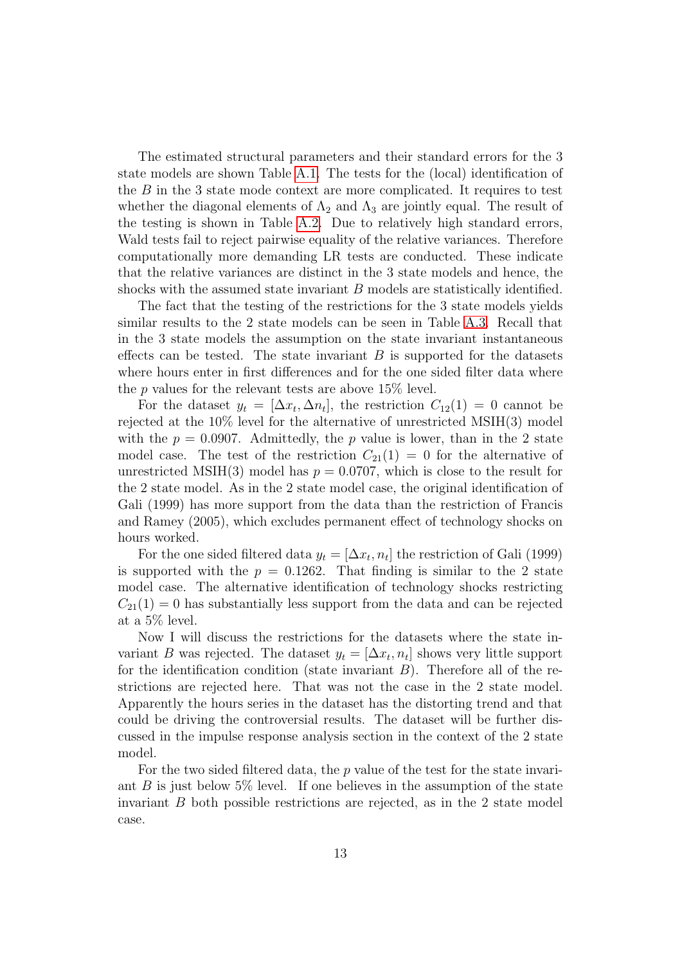The estimated structural parameters and their standard errors for the 3 state models are shown Table [A.1.](#page-30-0) The tests for the (local) identification of the B in the 3 state mode context are more complicated. It requires to test whether the diagonal elements of  $\Lambda_2$  and  $\Lambda_3$  are jointly equal. The result of the testing is shown in Table [A.2.](#page-31-0) Due to relatively high standard errors, Wald tests fail to reject pairwise equality of the relative variances. Therefore computationally more demanding LR tests are conducted. These indicate that the relative variances are distinct in the 3 state models and hence, the shocks with the assumed state invariant B models are statistically identified.

The fact that the testing of the restrictions for the 3 state models yields similar results to the 2 state models can be seen in Table [A.3.](#page-31-1) Recall that in the 3 state models the assumption on the state invariant instantaneous effects can be tested. The state invariant  $B$  is supported for the datasets where hours enter in first differences and for the one sided filter data where the  $p$  values for the relevant tests are above 15% level.

For the dataset  $y_t = [\Delta x_t, \Delta n_t]$ , the restriction  $C_{12}(1) = 0$  cannot be rejected at the 10% level for the alternative of unrestricted MSIH(3) model with the  $p = 0.0907$ . Admittedly, the p value is lower, than in the 2 state model case. The test of the restriction  $C_{21}(1) = 0$  for the alternative of unrestricted MSIH(3) model has  $p = 0.0707$ , which is close to the result for the 2 state model. As in the 2 state model case, the original identification of Gali (1999) has more support from the data than the restriction of Francis and Ramey (2005), which excludes permanent effect of technology shocks on hours worked.

For the one sided filtered data  $y_t = [\Delta x_t, n_t]$  the restriction of Gali (1999) is supported with the  $p = 0.1262$ . That finding is similar to the 2 state model case. The alternative identification of technology shocks restricting  $C_{21}(1) = 0$  has substantially less support from the data and can be rejected at a 5% level.

Now I will discuss the restrictions for the datasets where the state invariant B was rejected. The dataset  $y_t = [\Delta x_t, n_t]$  shows very little support for the identification condition (state invariant  $B$ ). Therefore all of the restrictions are rejected here. That was not the case in the 2 state model. Apparently the hours series in the dataset has the distorting trend and that could be driving the controversial results. The dataset will be further discussed in the impulse response analysis section in the context of the 2 state model.

For the two sided filtered data, the  $p$  value of the test for the state invariant  $B$  is just below 5% level. If one believes in the assumption of the state invariant  $B$  both possible restrictions are rejected, as in the 2 state model case.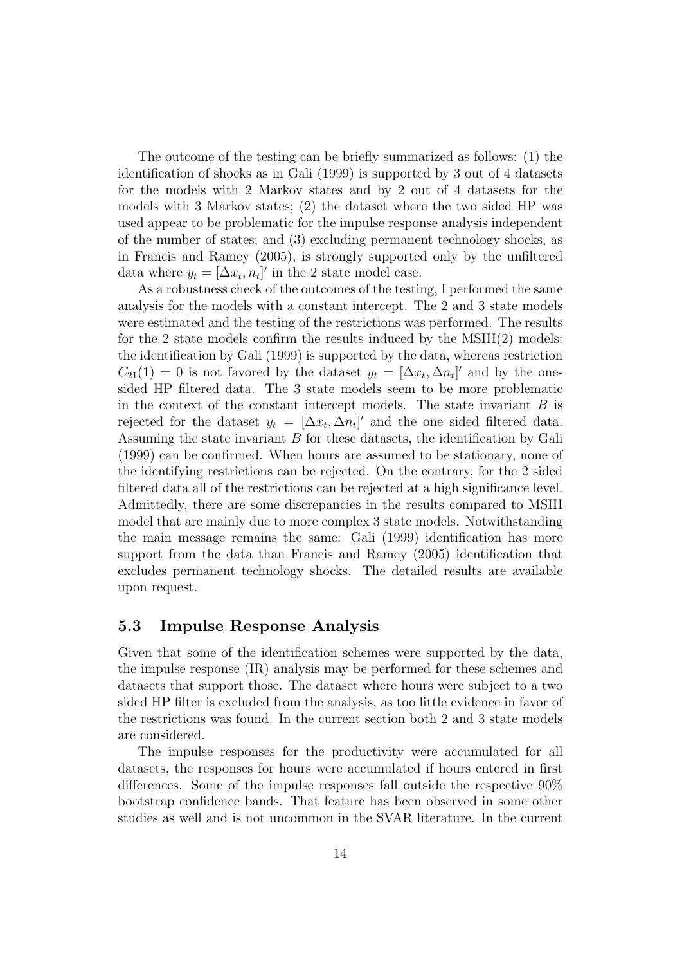The outcome of the testing can be briefly summarized as follows: (1) the identification of shocks as in Gali (1999) is supported by 3 out of 4 datasets for the models with 2 Markov states and by 2 out of 4 datasets for the models with 3 Markov states; (2) the dataset where the two sided HP was used appear to be problematic for the impulse response analysis independent of the number of states; and (3) excluding permanent technology shocks, as in Francis and Ramey (2005), is strongly supported only by the unfiltered data where  $y_t = [\Delta x_t, n_t]'$  in the 2 state model case.

As a robustness check of the outcomes of the testing, I performed the same analysis for the models with a constant intercept. The 2 and 3 state models were estimated and the testing of the restrictions was performed. The results for the 2 state models confirm the results induced by the MSIH(2) models: the identification by Gali (1999) is supported by the data, whereas restriction  $C_{21}(1) = 0$  is not favored by the dataset  $y_t = [\Delta x_t, \Delta n_t]'$  and by the onesided HP filtered data. The 3 state models seem to be more problematic in the context of the constant intercept models. The state invariant  $B$  is rejected for the dataset  $y_t = [\Delta x_t, \Delta n_t]'$  and the one sided filtered data. Assuming the state invariant B for these datasets, the identification by Gali (1999) can be confirmed. When hours are assumed to be stationary, none of the identifying restrictions can be rejected. On the contrary, for the 2 sided filtered data all of the restrictions can be rejected at a high significance level. Admittedly, there are some discrepancies in the results compared to MSIH model that are mainly due to more complex 3 state models. Notwithstanding the main message remains the same: Gali (1999) identification has more support from the data than Francis and Ramey (2005) identification that excludes permanent technology shocks. The detailed results are available upon request.

#### 5.3 Impulse Response Analysis

Given that some of the identification schemes were supported by the data, the impulse response (IR) analysis may be performed for these schemes and datasets that support those. The dataset where hours were subject to a two sided HP filter is excluded from the analysis, as too little evidence in favor of the restrictions was found. In the current section both 2 and 3 state models are considered.

The impulse responses for the productivity were accumulated for all datasets, the responses for hours were accumulated if hours entered in first differences. Some of the impulse responses fall outside the respective 90% bootstrap confidence bands. That feature has been observed in some other studies as well and is not uncommon in the SVAR literature. In the current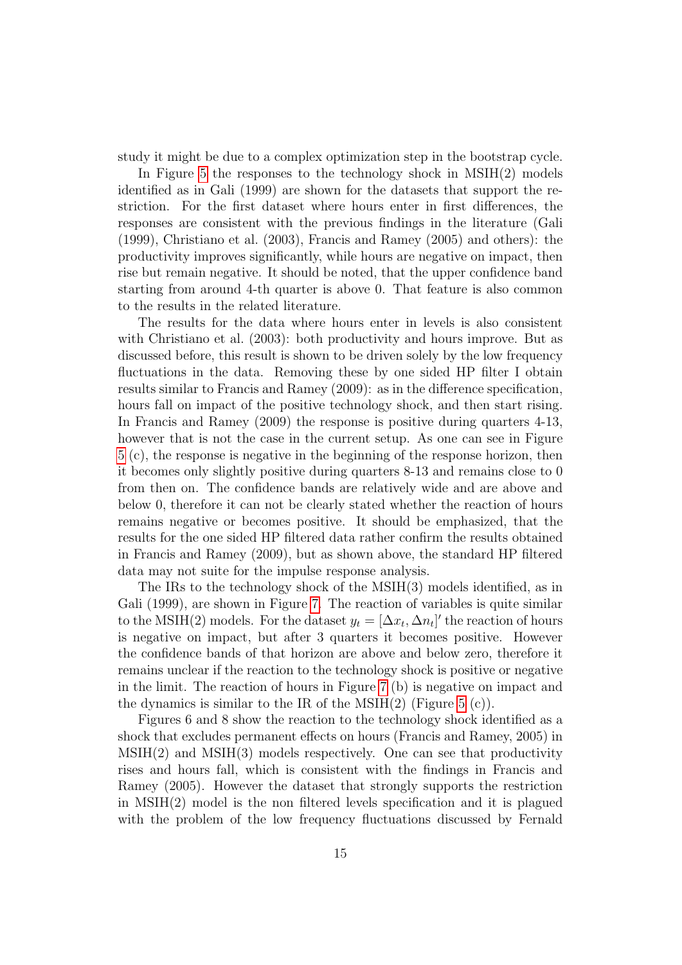study it might be due to a complex optimization step in the bootstrap cycle.

In Figure [5](#page-29-0) the responses to the technology shock in MSIH(2) models identified as in Gali (1999) are shown for the datasets that support the restriction. For the first dataset where hours enter in first differences, the responses are consistent with the previous findings in the literature (Gali (1999), Christiano et al. (2003), Francis and Ramey (2005) and others): the productivity improves significantly, while hours are negative on impact, then rise but remain negative. It should be noted, that the upper confidence band starting from around 4-th quarter is above 0. That feature is also common to the results in the related literature.

The results for the data where hours enter in levels is also consistent with Christiano et al. (2003): both productivity and hours improve. But as discussed before, this result is shown to be driven solely by the low frequency fluctuations in the data. Removing these by one sided HP filter I obtain results similar to Francis and Ramey (2009): as in the difference specification, hours fall on impact of the positive technology shock, and then start rising. In Francis and Ramey (2009) the response is positive during quarters 4-13, however that is not the case in the current setup. As one can see in Figure [5](#page-29-0) (c), the response is negative in the beginning of the response horizon, then it becomes only slightly positive during quarters 8-13 and remains close to 0 from then on. The confidence bands are relatively wide and are above and below 0, therefore it can not be clearly stated whether the reaction of hours remains negative or becomes positive. It should be emphasized, that the results for the one sided HP filtered data rather confirm the results obtained in Francis and Ramey (2009), but as shown above, the standard HP filtered data may not suite for the impulse response analysis.

The IRs to the technology shock of the MSIH(3) models identified, as in Gali (1999), are shown in Figure [7.](#page-32-0) The reaction of variables is quite similar to the MSIH(2) models. For the dataset  $y_t = [\Delta x_t, \Delta n_t]'$  the reaction of hours is negative on impact, but after 3 quarters it becomes positive. However the confidence bands of that horizon are above and below zero, therefore it remains unclear if the reaction to the technology shock is positive or negative in the limit. The reaction of hours in Figure [7](#page-32-0) (b) is negative on impact and the dynamics is similar to the IR of the MSIH $(2)$  (Figure [5](#page-29-0)  $(c)$ ).

Figures 6 and 8 show the reaction to the technology shock identified as a shock that excludes permanent effects on hours (Francis and Ramey, 2005) in  $MSIH(2)$  and  $MSIH(3)$  models respectively. One can see that productivity rises and hours fall, which is consistent with the findings in Francis and Ramey (2005). However the dataset that strongly supports the restriction in MSIH(2) model is the non filtered levels specification and it is plagued with the problem of the low frequency fluctuations discussed by Fernald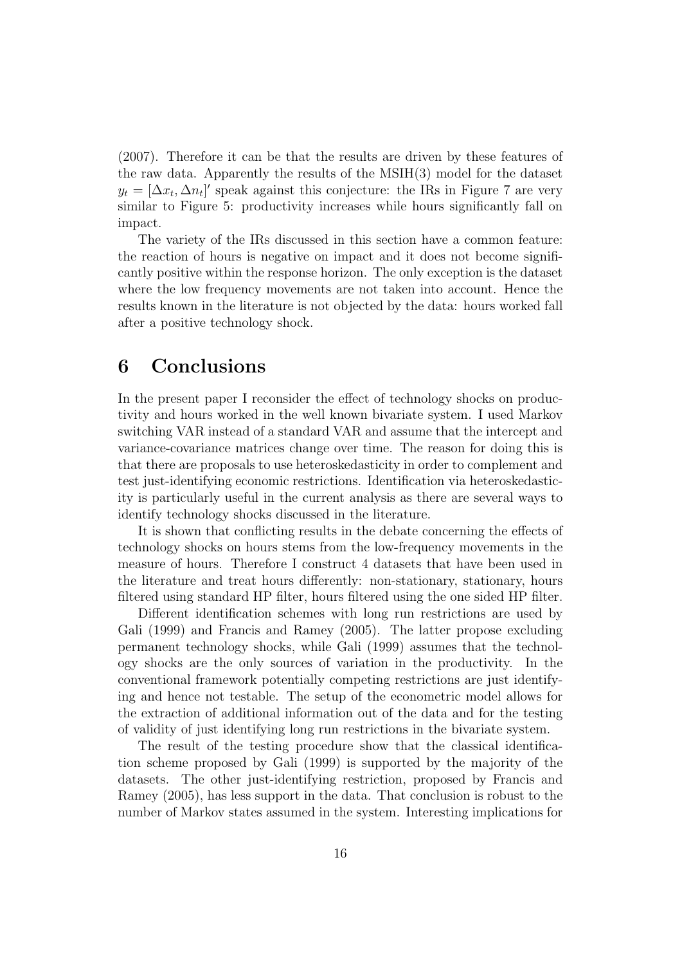(2007). Therefore it can be that the results are driven by these features of the raw data. Apparently the results of the MSIH(3) model for the dataset  $y_t = [\Delta x_t, \Delta n_t]'$  speak against this conjecture: the IRs in Figure 7 are very similar to Figure 5: productivity increases while hours significantly fall on impact.

The variety of the IRs discussed in this section have a common feature: the reaction of hours is negative on impact and it does not become significantly positive within the response horizon. The only exception is the dataset where the low frequency movements are not taken into account. Hence the results known in the literature is not objected by the data: hours worked fall after a positive technology shock.

# 6 Conclusions

In the present paper I reconsider the effect of technology shocks on productivity and hours worked in the well known bivariate system. I used Markov switching VAR instead of a standard VAR and assume that the intercept and variance-covariance matrices change over time. The reason for doing this is that there are proposals to use heteroskedasticity in order to complement and test just-identifying economic restrictions. Identification via heteroskedasticity is particularly useful in the current analysis as there are several ways to identify technology shocks discussed in the literature.

It is shown that conflicting results in the debate concerning the effects of technology shocks on hours stems from the low-frequency movements in the measure of hours. Therefore I construct 4 datasets that have been used in the literature and treat hours differently: non-stationary, stationary, hours filtered using standard HP filter, hours filtered using the one sided HP filter.

Different identification schemes with long run restrictions are used by Gali (1999) and Francis and Ramey (2005). The latter propose excluding permanent technology shocks, while Gali (1999) assumes that the technology shocks are the only sources of variation in the productivity. In the conventional framework potentially competing restrictions are just identifying and hence not testable. The setup of the econometric model allows for the extraction of additional information out of the data and for the testing of validity of just identifying long run restrictions in the bivariate system.

The result of the testing procedure show that the classical identification scheme proposed by Gali (1999) is supported by the majority of the datasets. The other just-identifying restriction, proposed by Francis and Ramey (2005), has less support in the data. That conclusion is robust to the number of Markov states assumed in the system. Interesting implications for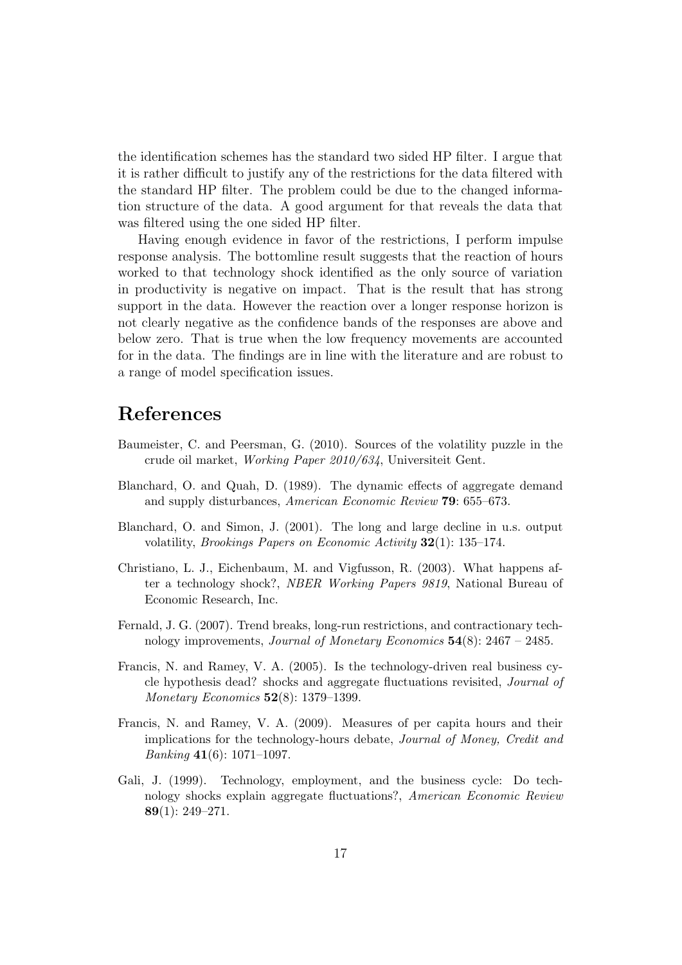the identification schemes has the standard two sided HP filter. I argue that it is rather difficult to justify any of the restrictions for the data filtered with the standard HP filter. The problem could be due to the changed information structure of the data. A good argument for that reveals the data that was filtered using the one sided HP filter.

Having enough evidence in favor of the restrictions, I perform impulse response analysis. The bottomline result suggests that the reaction of hours worked to that technology shock identified as the only source of variation in productivity is negative on impact. That is the result that has strong support in the data. However the reaction over a longer response horizon is not clearly negative as the confidence bands of the responses are above and below zero. That is true when the low frequency movements are accounted for in the data. The findings are in line with the literature and are robust to a range of model specification issues.

# References

- Baumeister, C. and Peersman, G. (2010). Sources of the volatility puzzle in the crude oil market, Working Paper 2010/634, Universiteit Gent.
- Blanchard, O. and Quah, D. (1989). The dynamic effects of aggregate demand and supply disturbances, American Economic Review 79: 655–673.
- Blanchard, O. and Simon, J. (2001). The long and large decline in u.s. output volatility, Brookings Papers on Economic Activity 32(1): 135–174.
- Christiano, L. J., Eichenbaum, M. and Vigfusson, R. (2003). What happens after a technology shock?, NBER Working Papers 9819, National Bureau of Economic Research, Inc.
- Fernald, J. G. (2007). Trend breaks, long-run restrictions, and contractionary technology improvements, *Journal of Monetary Economics*  $54(8)$ : 2467 – 2485.
- Francis, N. and Ramey, V. A. (2005). Is the technology-driven real business cycle hypothesis dead? shocks and aggregate fluctuations revisited, Journal of Monetary Economics 52(8): 1379–1399.
- Francis, N. and Ramey, V. A. (2009). Measures of per capita hours and their implications for the technology-hours debate, Journal of Money, Credit and *Banking* 41(6): 1071–1097.
- Gali, J. (1999). Technology, employment, and the business cycle: Do technology shocks explain aggregate fluctuations?, American Economic Review 89(1): 249–271.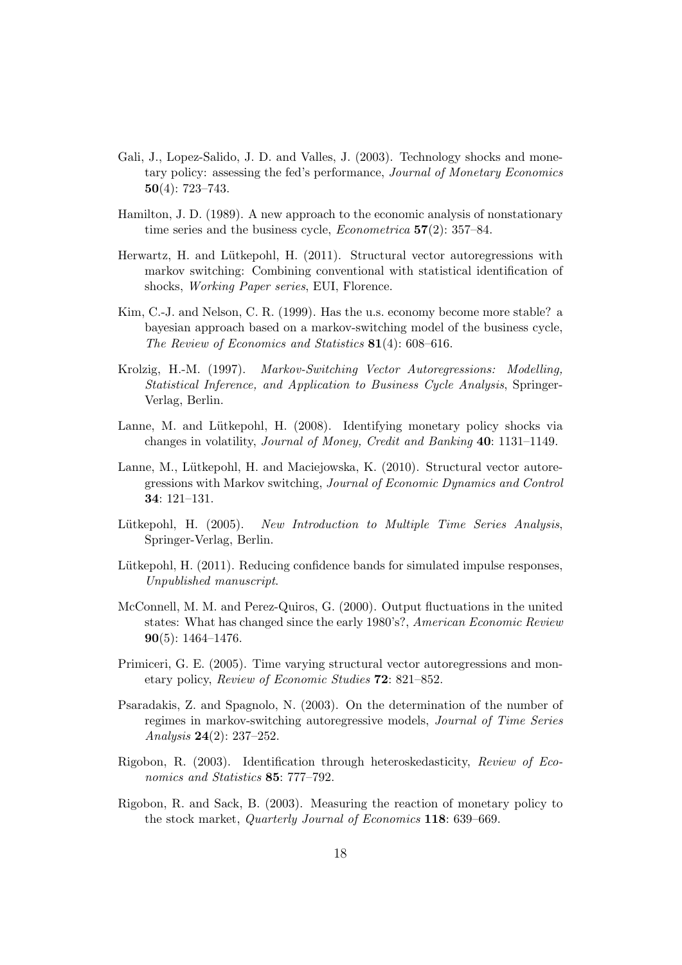- Gali, J., Lopez-Salido, J. D. and Valles, J. (2003). Technology shocks and monetary policy: assessing the fed's performance, Journal of Monetary Economics  $50(4): 723 - 743.$
- Hamilton, J. D. (1989). A new approach to the economic analysis of nonstationary time series and the business cycle, *Econometrica*  $57(2)$ : 357–84.
- Herwartz, H. and Lütkepohl, H. (2011). Structural vector autoregressions with markov switching: Combining conventional with statistical identification of shocks, Working Paper series, EUI, Florence.
- Kim, C.-J. and Nelson, C. R. (1999). Has the u.s. economy become more stable? a bayesian approach based on a markov-switching model of the business cycle, The Review of Economics and Statistics 81(4): 608–616.
- Krolzig, H.-M. (1997). Markov-Switching Vector Autoregressions: Modelling, Statistical Inference, and Application to Business Cycle Analysis, Springer-Verlag, Berlin.
- Lanne, M. and Lütkepohl, H. (2008). Identifying monetary policy shocks via changes in volatility, Journal of Money, Credit and Banking 40: 1131–1149.
- Lanne, M., Lütkepohl, H. and Maciejowska, K. (2010). Structural vector autoregressions with Markov switching, Journal of Economic Dynamics and Control 34: 121–131.
- Lütkepohl, H. (2005). New Introduction to Multiple Time Series Analysis, Springer-Verlag, Berlin.
- Lütkepohl, H. (2011). Reducing confidence bands for simulated impulse responses, Unpublished manuscript.
- McConnell, M. M. and Perez-Quiros, G. (2000). Output fluctuations in the united states: What has changed since the early 1980's?, American Economic Review 90(5): 1464–1476.
- Primiceri, G. E. (2005). Time varying structural vector autoregressions and monetary policy, Review of Economic Studies 72: 821–852.
- Psaradakis, Z. and Spagnolo, N. (2003). On the determination of the number of regimes in markov-switching autoregressive models, Journal of Time Series Analysis 24(2): 237–252.
- Rigobon, R. (2003). Identification through heteroskedasticity, Review of Economics and Statistics 85: 777–792.
- Rigobon, R. and Sack, B. (2003). Measuring the reaction of monetary policy to the stock market, Quarterly Journal of Economics 118: 639–669.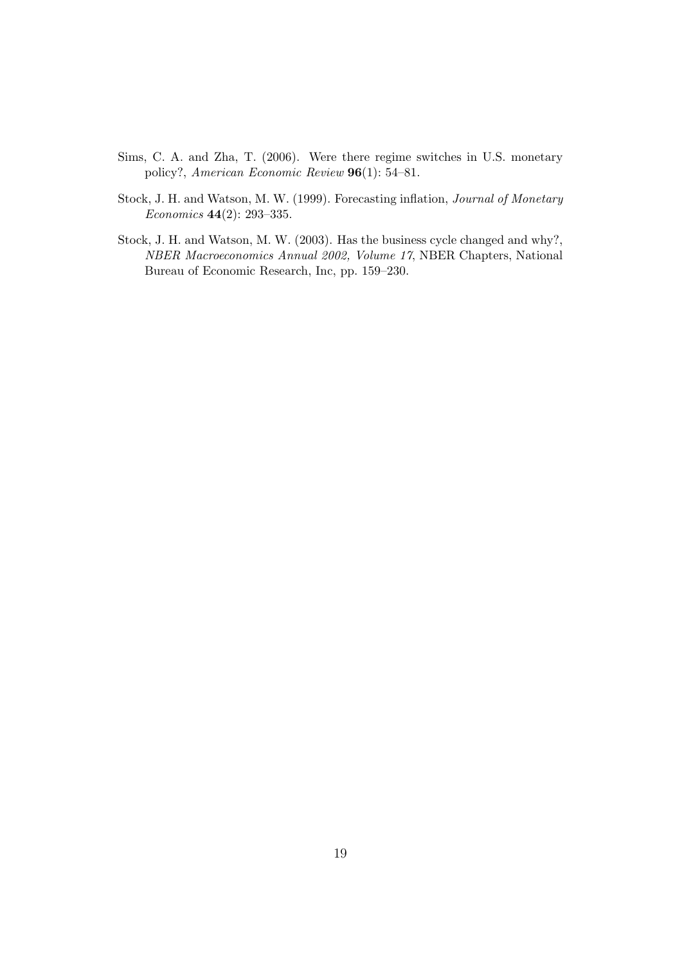- Sims, C. A. and Zha, T. (2006). Were there regime switches in U.S. monetary policy?, American Economic Review 96(1): 54–81.
- Stock, J. H. and Watson, M. W. (1999). Forecasting inflation, Journal of Monetary Economics 44(2): 293–335.
- Stock, J. H. and Watson, M. W. (2003). Has the business cycle changed and why?, NBER Macroeconomics Annual 2002, Volume 17, NBER Chapters, National Bureau of Economic Research, Inc, pp. 159–230.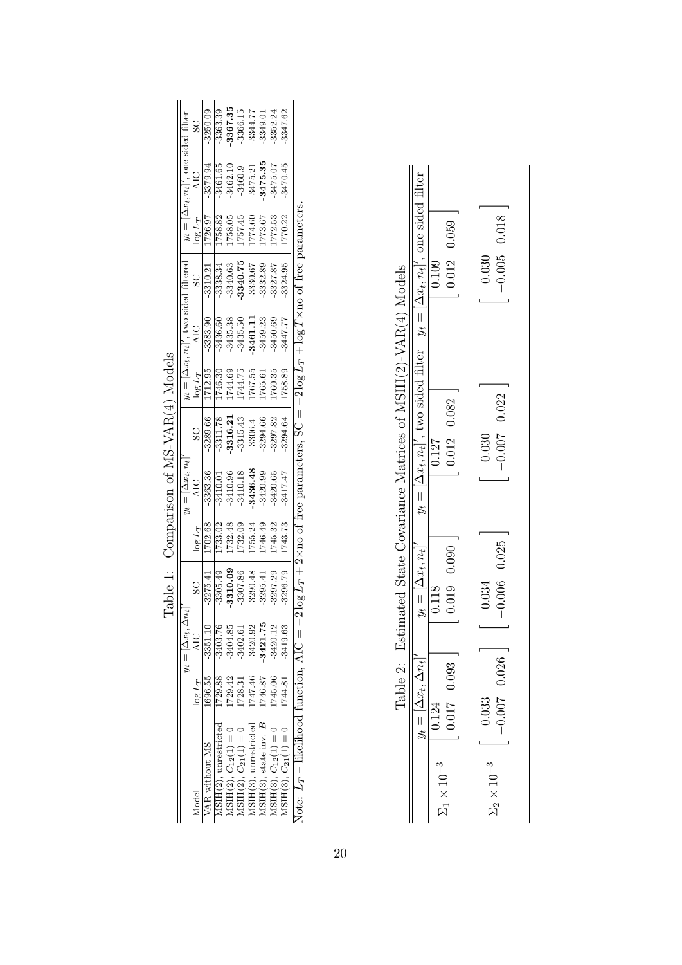<span id="page-24-1"></span><span id="page-24-0"></span>

| $-3367.35$<br>$-3366.15$<br>$-3344.77$<br>3250.09<br>3363.39<br>3352.24<br>3347.62<br>3349.01<br>$y_t = [\Delta x_t, n_t]'$ , one sided filter<br>$-3475.35$<br>$-3475.07$<br>3461.65<br>3379.94<br>$-3462.10$<br>3470.45<br>$-3475.21$<br>$-3460.9$<br>$\log L_T + 2 \times$ no of free parameters, SC = -2 $\log L_T + \log T \times$ no of free parameters<br>1757.45<br>1772.53<br>1758.05<br>1774.60<br>1773.67<br>1770.22<br>1726.97<br>1758.82<br>$\log L_T$<br>$y_t = [\Delta x_t, n_t]'$ , two sided filtered  <br>-3340.75<br>$-3340.63$<br>$-3330.67$<br>3324.95<br>$-3332.89$<br>$-3327.87$<br>$-3338.34$<br>$-3310.21$<br>SC<br>$-3435.50$<br>$-3435.38$<br>11.1958<br>$-3450.69$<br>$-3459.23$<br>$-3447.77$<br>$-3383.90$<br>$-3436.60$<br><b>AIC</b><br>1744.75<br>1712.95<br>1744.69<br>1760.35<br>1767.55<br>.758.89<br>1746.30<br>1765.61<br>$\log L_T$<br>$-3315.43$<br>-3316.21<br>3289.66<br>3297.82<br>3311.78<br>3294.66<br>3294.64<br>$-3306.4$<br>SC<br>$y_t =  \Delta x_t, n_t $<br>3436.48<br>$-3410.18$<br>$-3410.96$<br>-3363.36<br>$-3420.65$<br>$-3420.99$<br>$-3417.47$<br>$-3410.01$<br>1732.09<br>1732.48<br>1746.49<br>1745.32<br>1702.68<br>1743.73<br>1755.24<br>1733.02<br>$\log L_T$<br>$-3310.09$<br>$-3307.86$<br>$-3296.79$<br>$-3297.29$<br>$-3305.49$<br>$-3290.48$<br>$-3295.41$<br>$-3275.41$<br>Note: $L_T$ – likelihood function, AIC = -21<br>$y_t =  \Delta x_t, \Delta n_t$<br>$-3421.75$<br>$-3420.12$<br>$-3403.76$<br>$-3404.85$<br>$-3420.92$<br>$-3351.10$<br>3419.63<br>$-3402.61$<br>$\text{MSIH}(3)$ , unrestricted   1747.46<br>1728.31<br>1745.06<br>MSIH(3), state inv. $B$   1746.87<br>1729.88<br>1696.55<br>1729.42<br>1744.81<br>$\log L_T$<br>$MSIH(3), C_{12}(1) = 0$<br>JSIH(2), unrestricted<br>$ASIH(3), C_{21}(1) = 0$<br>$MSH(2), C_{12}(1) = 0$<br>$MSH(2), C_{21}(1) = 0$<br><b>AR</b> without MS |  |  |  |  |  |  |  |
|-------------------------------------------------------------------------------------------------------------------------------------------------------------------------------------------------------------------------------------------------------------------------------------------------------------------------------------------------------------------------------------------------------------------------------------------------------------------------------------------------------------------------------------------------------------------------------------------------------------------------------------------------------------------------------------------------------------------------------------------------------------------------------------------------------------------------------------------------------------------------------------------------------------------------------------------------------------------------------------------------------------------------------------------------------------------------------------------------------------------------------------------------------------------------------------------------------------------------------------------------------------------------------------------------------------------------------------------------------------------------------------------------------------------------------------------------------------------------------------------------------------------------------------------------------------------------------------------------------------------------------------------------------------------------------------------------------------------------------------------------------------------------------------------------------------------------------------------------------------------------------|--|--|--|--|--|--|--|
|                                                                                                                                                                                                                                                                                                                                                                                                                                                                                                                                                                                                                                                                                                                                                                                                                                                                                                                                                                                                                                                                                                                                                                                                                                                                                                                                                                                                                                                                                                                                                                                                                                                                                                                                                                                                                                                                               |  |  |  |  |  |  |  |
|                                                                                                                                                                                                                                                                                                                                                                                                                                                                                                                                                                                                                                                                                                                                                                                                                                                                                                                                                                                                                                                                                                                                                                                                                                                                                                                                                                                                                                                                                                                                                                                                                                                                                                                                                                                                                                                                               |  |  |  |  |  |  |  |
|                                                                                                                                                                                                                                                                                                                                                                                                                                                                                                                                                                                                                                                                                                                                                                                                                                                                                                                                                                                                                                                                                                                                                                                                                                                                                                                                                                                                                                                                                                                                                                                                                                                                                                                                                                                                                                                                               |  |  |  |  |  |  |  |
|                                                                                                                                                                                                                                                                                                                                                                                                                                                                                                                                                                                                                                                                                                                                                                                                                                                                                                                                                                                                                                                                                                                                                                                                                                                                                                                                                                                                                                                                                                                                                                                                                                                                                                                                                                                                                                                                               |  |  |  |  |  |  |  |
|                                                                                                                                                                                                                                                                                                                                                                                                                                                                                                                                                                                                                                                                                                                                                                                                                                                                                                                                                                                                                                                                                                                                                                                                                                                                                                                                                                                                                                                                                                                                                                                                                                                                                                                                                                                                                                                                               |  |  |  |  |  |  |  |
|                                                                                                                                                                                                                                                                                                                                                                                                                                                                                                                                                                                                                                                                                                                                                                                                                                                                                                                                                                                                                                                                                                                                                                                                                                                                                                                                                                                                                                                                                                                                                                                                                                                                                                                                                                                                                                                                               |  |  |  |  |  |  |  |
|                                                                                                                                                                                                                                                                                                                                                                                                                                                                                                                                                                                                                                                                                                                                                                                                                                                                                                                                                                                                                                                                                                                                                                                                                                                                                                                                                                                                                                                                                                                                                                                                                                                                                                                                                                                                                                                                               |  |  |  |  |  |  |  |
|                                                                                                                                                                                                                                                                                                                                                                                                                                                                                                                                                                                                                                                                                                                                                                                                                                                                                                                                                                                                                                                                                                                                                                                                                                                                                                                                                                                                                                                                                                                                                                                                                                                                                                                                                                                                                                                                               |  |  |  |  |  |  |  |
|                                                                                                                                                                                                                                                                                                                                                                                                                                                                                                                                                                                                                                                                                                                                                                                                                                                                                                                                                                                                                                                                                                                                                                                                                                                                                                                                                                                                                                                                                                                                                                                                                                                                                                                                                                                                                                                                               |  |  |  |  |  |  |  |
|                                                                                                                                                                                                                                                                                                                                                                                                                                                                                                                                                                                                                                                                                                                                                                                                                                                                                                                                                                                                                                                                                                                                                                                                                                                                                                                                                                                                                                                                                                                                                                                                                                                                                                                                                                                                                                                                               |  |  |  |  |  |  |  |
|                                                                                                                                                                                                                                                                                                                                                                                                                                                                                                                                                                                                                                                                                                                                                                                                                                                                                                                                                                                                                                                                                                                                                                                                                                                                                                                                                                                                                                                                                                                                                                                                                                                                                                                                                                                                                                                                               |  |  |  |  |  |  |  |

| ļ<br>I<br>I<br>ׇ֘֝֬֝                     |
|------------------------------------------|
| l<br>I                                   |
| Ì<br>≀<br>I<br>l<br>֠<br>I<br>$\zeta$    |
| <b>NO 20 00 20 20 20 20 20</b><br>ł<br>֠ |
| $\overline{a}$<br>Ì                      |
| I<br>l                                   |

|                                                                 |                                                                                             | 0.012 0.059<br>0.109          | $-0.005$ 0.018<br>0.030   |
|-----------------------------------------------------------------|---------------------------------------------------------------------------------------------|-------------------------------|---------------------------|
| 2: Estimated State Covariance Matrices of MSIH(2)-VAR(4) Models | $y_t = [\Delta x_t, n_t]'$ , two sided filter $y_t = [\Delta x_t, n_t]'$ , one sided filter | 0.012 0.082<br>0.127          | $-0.007$ 0.022<br>0.030   |
|                                                                 | $y_t = \lfloor \Delta x_t, n_t \rfloor'$                                                    | 0.019 0.090<br>0.118          | $-0.006$ 0.025<br>0.034   |
| Table                                                           | $\Delta n_t $<br>$y_t =  \Delta x_t,$                                                       | 93<br>$0.017$ 0.<br>0.124     | .026<br>$-0.007$<br>0.033 |
|                                                                 |                                                                                             | $\Sigma_1 \times 10^{-3}$   . | $\Sigma_2 \times 10^{-3}$ |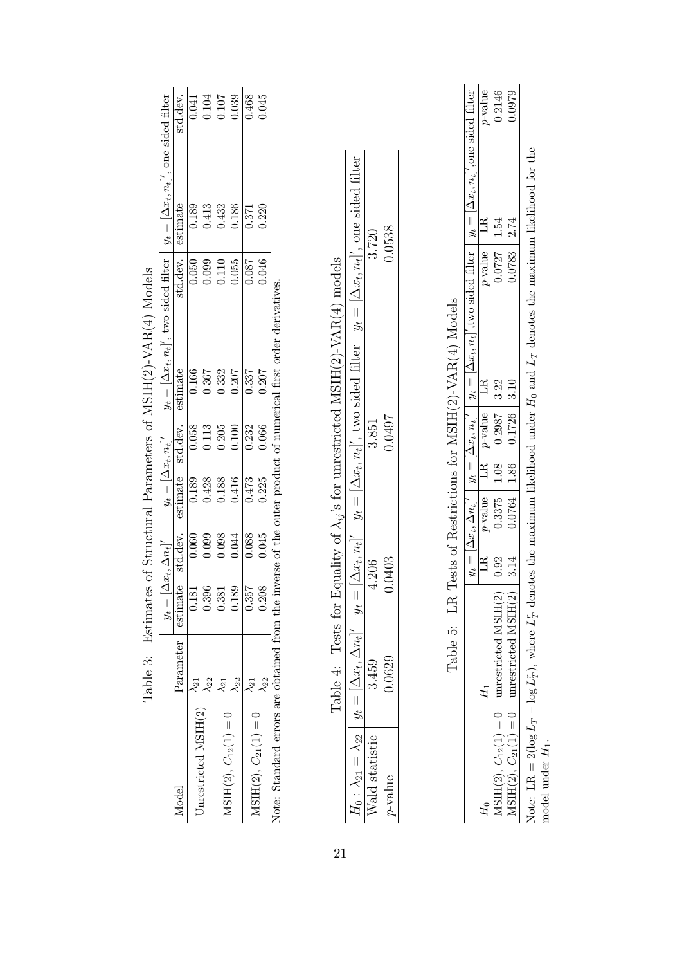|                                     | )<br> <br> <br> |                                   |          |                                                 |                    | $\frac{1}{2}$ , $\frac{1}{2}$ , $\frac{1}{2}$ , $\frac{1}{2}$ , $\frac{1}{2}$ , $\frac{1}{2}$ , $\frac{1}{2}$ , $\frac{1}{2}$ , $\frac{1}{2}$ , $\frac{1}{2}$ , $\frac{1}{2}$ , $\frac{1}{2}$ , $\frac{1}{2}$ , $\frac{1}{2}$ , $\frac{1}{2}$ , $\frac{1}{2}$ , $\frac{1}{2}$ , $\frac{1}{2}$ , $\frac{1$ |          |          |                                                                                                                                    |
|-------------------------------------|-----------------|-----------------------------------|----------|-------------------------------------------------|--------------------|-----------------------------------------------------------------------------------------------------------------------------------------------------------------------------------------------------------------------------------------------------------------------------------------------------------|----------|----------|------------------------------------------------------------------------------------------------------------------------------------|
|                                     |                 | $y_t = [\Delta x_t, \Delta n_t]'$ |          | $y_t = [\Delta x_t, n_t]'$<br>estimate std.dev. |                    | $y_t = [\Delta x_t, n_t]'$ , two sided filter $y_t = [\Delta x_t, n_t]'$ , one sided filter                                                                                                                                                                                                               |          |          |                                                                                                                                    |
| Model                               | Parameter       | estimate                          | std.dev. |                                                 |                    | estimate                                                                                                                                                                                                                                                                                                  | std.dev. | estimate |                                                                                                                                    |
| Unrestricted MSIH $(2)$ $\sqrt{21}$ |                 | 181                               | 0.060    | $\frac{0.189}{2}$                               | 0.058              | 0.166                                                                                                                                                                                                                                                                                                     | 0.050    | 0.189    |                                                                                                                                    |
|                                     |                 | <b>J.396</b>                      | 0.099    | 0.428                                           | 0.113              | 0.367                                                                                                                                                                                                                                                                                                     | 0.099    | 0.413    | $\begin{array}{r l} \text{std.dev.}\\ \hline 0.041 \\ \hline 0.104 \\ \hline 0.107 \\ \hline 0.039 \\ \hline 0.468 \\ \end{array}$ |
|                                     |                 | 1.381                             | 0.098    | $\frac{0.188}{0.416}$                           | $0.205$<br>$0.100$ | 0.332                                                                                                                                                                                                                                                                                                     | 0.110    | 0.432    |                                                                                                                                    |
| $MSIH(2), C_{12}(1) = 0$            |                 | .189                              | 0.044    |                                                 |                    | 0.207                                                                                                                                                                                                                                                                                                     | 0.055    | 0.186    |                                                                                                                                    |
| $MSIH(2), C_{21}(1) = 0$            |                 | 0.357                             | 0.088    | 0.473                                           | 0.232              | 0.337                                                                                                                                                                                                                                                                                                     | 180.0    | 0.371    |                                                                                                                                    |
|                                     |                 | 0.208                             | 0.045    | 0.225                                           | 0.066              | 0.207                                                                                                                                                                                                                                                                                                     | 0.046    | 0.220    |                                                                                                                                    |
|                                     |                 |                                   |          |                                                 |                    | Note: Standard errors are obtained from the inverse of the outer product of numerical first order derivatives                                                                                                                                                                                             |          |          |                                                                                                                                    |

<span id="page-25-0"></span>

| I                                                                         |
|---------------------------------------------------------------------------|
| I<br>ノマン イー・トー ノイントトーてき アー<br>.<br>וואו<br>.<br>Ì                         |
| l                                                                         |
| ĺ                                                                         |
| ،<br>آ<br>$\ddot{\phantom{a}}$<br>l<br>ı<br>ı<br>i<br>$\mathfrak{c}$<br>I |
| :<br>;<br>;<br>;<br>Í<br>l                                                |
| į<br>I                                                                    |
| ĺ<br>$\overline{\phantom{a}}$<br>I                                        |

Note: Standard errors are obtained from the inverse of the outer product of numerical first order derivatives. Note: Standard errors are obtained from the inverse of the outer product of numerical first order derivatives.

|                                                                                | $ \Delta x_t, n_t '$ , two sided filter $y_t =  \Delta x_t, n_t '$ , one sided filter | 3.720          | .0538   |
|--------------------------------------------------------------------------------|---------------------------------------------------------------------------------------|----------------|---------|
| Tests for Equality of $\lambda_{ij}$ 's for unrestricted MSIH(2)-VAR(4) models | $=$ $+$                                                                               | 3.851          | 1.0497  |
|                                                                                | $y_t =  \Delta x_t, n_t $                                                             | 4.206          | 0403.   |
| Table 4:                                                                       | $\Delta x_t$                                                                          | 3.459          | .0629   |
|                                                                                | $H_0$ : $\lambda_{21} = \lambda_{22}$   $y_t = 1$                                     | Vald statistic | y-value |

p-value 0.0629 0.0403 0.0497 0.0538

| ı                                                                                                 |
|---------------------------------------------------------------------------------------------------|
| ı<br>.<br>י<br>١<br>l<br>ı<br>I                                                                   |
| ・・・・ イベートーーー<br>l<br>ı<br>I<br>I<br>ľ                                                             |
| ו<br>ו<br>$\overline{\phantom{a}}$<br>ı                                                           |
| i<br>C<br>ı                                                                                       |
|                                                                                                   |
| <br> <br> <br>i                                                                                   |
| Ì<br>l<br>֖֧ׅ֧֧֧֧֧֧ׅ֧֧֧֧֪֪֪֪֪֪֪֪֪֪֪֪֪֪֪֪֪֪֪֪֪֪֪֪֚֚֚֚֚֚֚֚֚֚֚֚֚֚֚֚֚֚֚֚֚֚֚֚֚֚֚֡֝֝֟֓֝֓֝֓֝֓֝֬֜֓֝֬֝֓֝֬֝ |

<span id="page-25-2"></span><span id="page-25-1"></span>

|                                     |      |                          |                                | $\ddot{\phantom{a}}$<br>$\ddot{\phantom{0}}$ |                                                                                                                                                          |
|-------------------------------------|------|--------------------------|--------------------------------|----------------------------------------------|----------------------------------------------------------------------------------------------------------------------------------------------------------|
|                                     |      |                          |                                |                                              | $y_t = [\Delta x_t, \Delta n_t]'$ $y_t = [\Delta x_t, n_t]'$ $y_t = [\Delta x_t, n_t]'$ , two sided filter $y_t = [\Delta x_t, n_t]'$ , one sided filter |
|                                     | LR   | $p$ -value LR $p$ -value |                                | $p$ -value<br>LR                             | p-value<br>Ê                                                                                                                                             |
| $\mathsf{I}$<br>$SHH(2), C_{12}(1)$ | 0.92 |                          | $0.3375$   1.08  0.2987   3.22 | 0.0727                                       | 0.2146<br>1.54                                                                                                                                           |
| $\parallel$                         | 3.14 | 0.0764   1.86            | $0.1726$   3.10                |                                              | 0.0979<br>$0.0783$   2.74                                                                                                                                |
|                                     |      |                          |                                |                                              |                                                                                                                                                          |

Note:  $LR = 2(log$ L Ļ٣.  $-\log$ L  $\mathfrak{r}_T$ ), where L ۴F  $\frac{r}{T}$  denotes the maximum likelihood under  $H_0$  and L  $\vdash$  denotes the maximum likelihood for the model under  $H_1$ .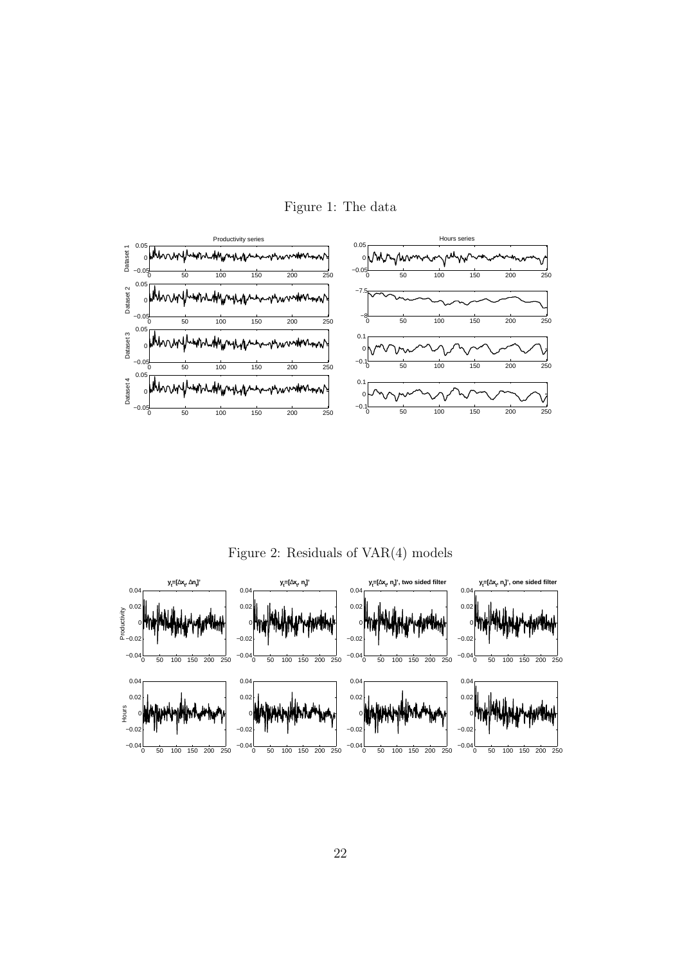

<span id="page-26-0"></span>Figure 1: The data

<span id="page-26-1"></span>Figure 2: Residuals of VAR(4) models

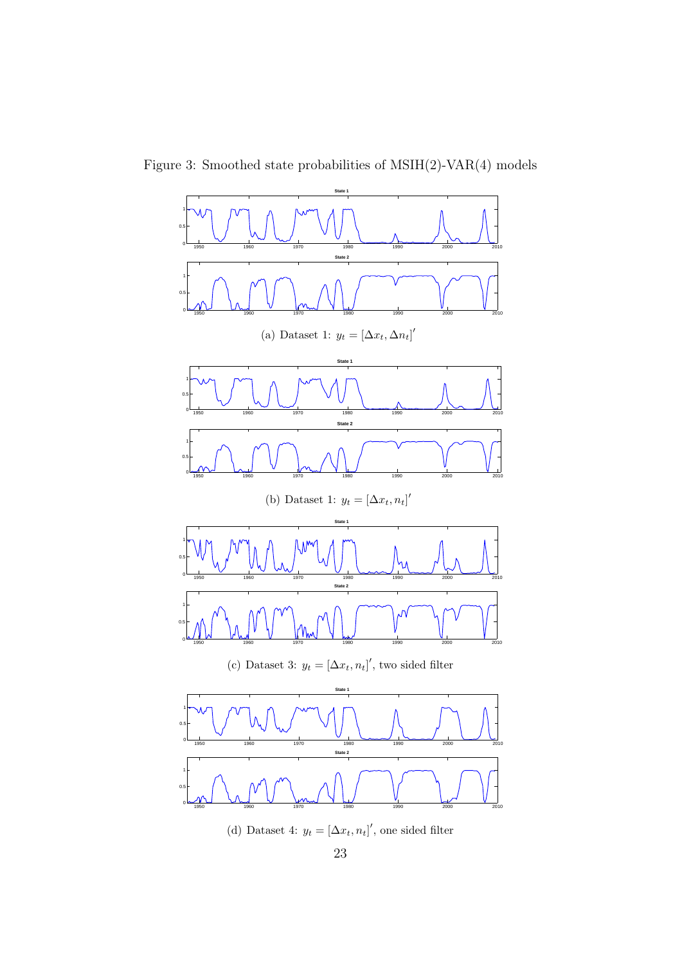Figure 3: Smoothed state probabilities of MSIH(2)-VAR(4) models

<span id="page-27-0"></span>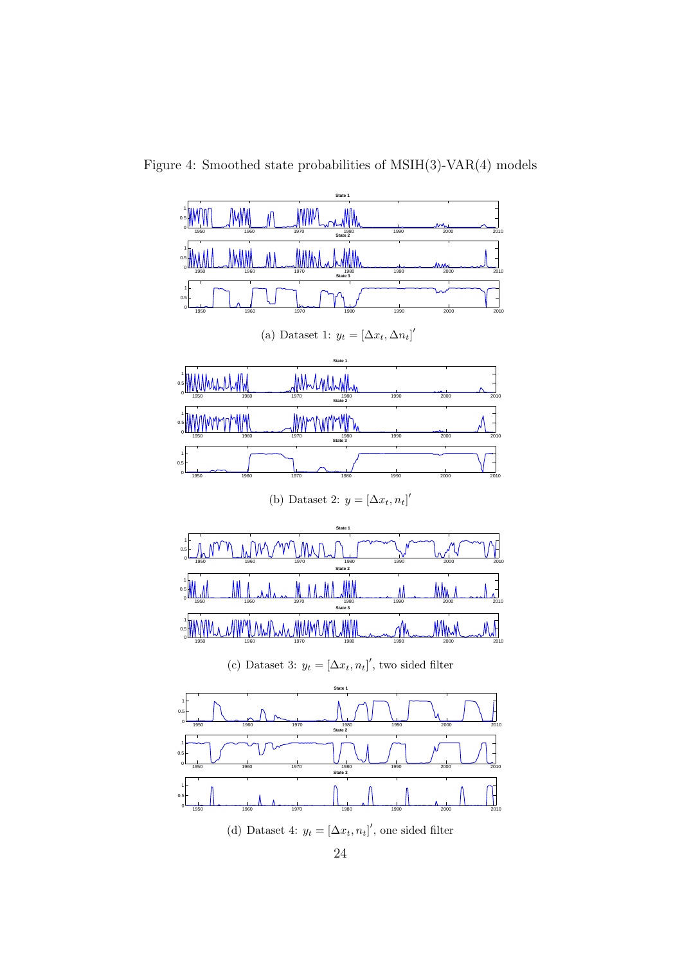Figure 4: Smoothed state probabilities of MSIH(3)-VAR(4) models

<span id="page-28-0"></span>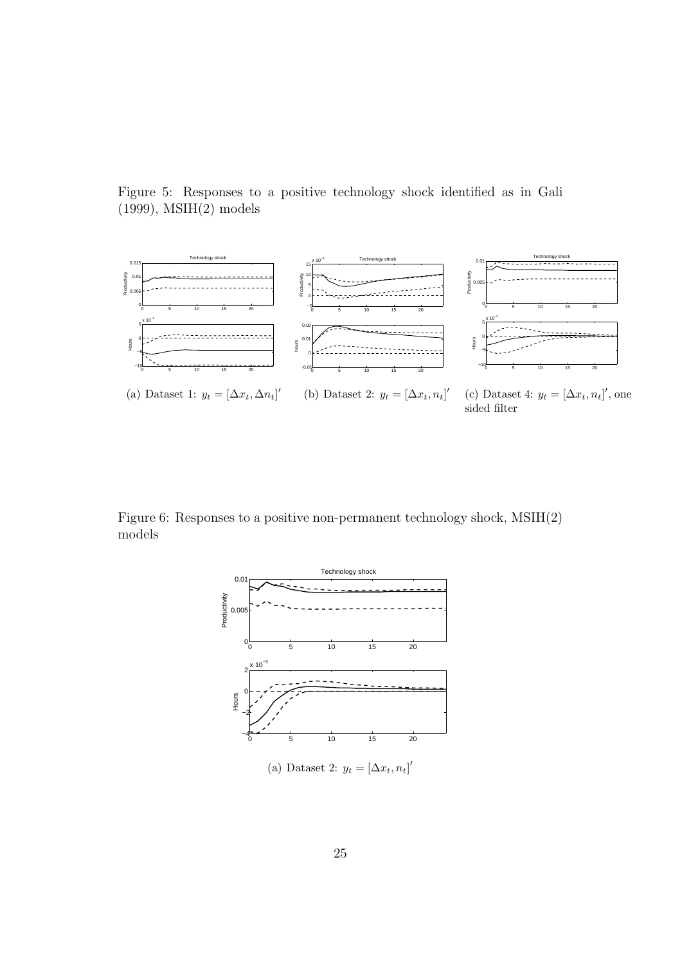<span id="page-29-0"></span>Figure 5: Responses to a positive technology shock identified as in Gali  $(1999)$ , MSIH $(2)$  models



Figure 6: Responses to a positive non-permanent technology shock, MSIH(2) models

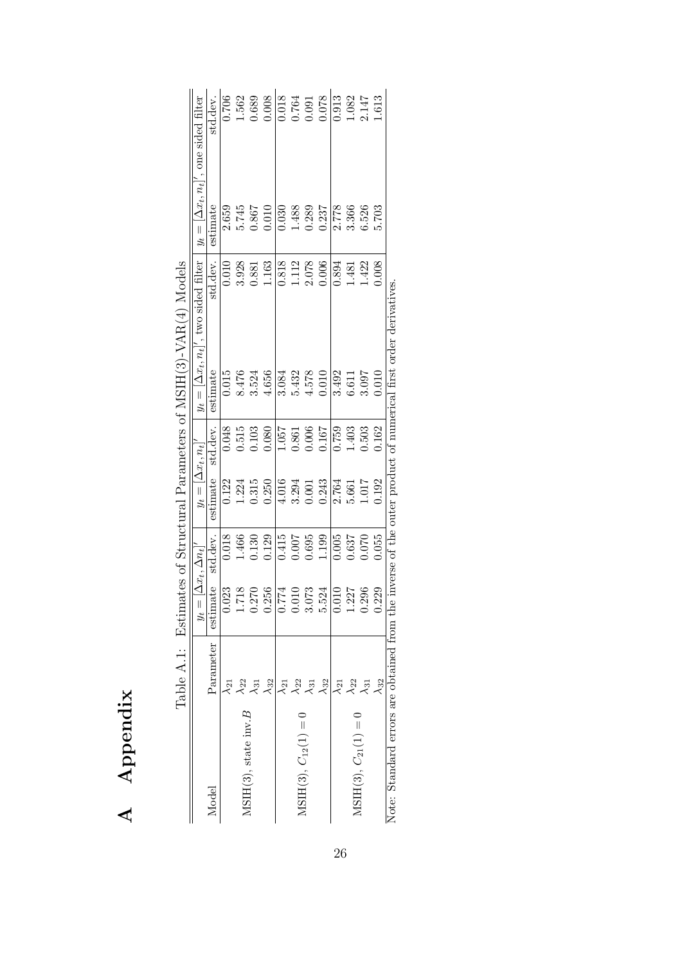<span id="page-30-0"></span>

|                                             |                         |          |                            |                           |          | Table A.1: Estimates of Structural Parameters of MSIH(3)-VAR(4) Models |                    |                                                          |                       |
|---------------------------------------------|-------------------------|----------|----------------------------|---------------------------|----------|------------------------------------------------------------------------|--------------------|----------------------------------------------------------|-----------------------|
|                                             |                         | $y_t =$  | $ \Delta x_t, \Delta n_t $ | $y_t =  \Delta x_t, n_t $ |          | $y_t =  \Delta x_t, n_t ',$ two sided filter                           |                    | $y_t = \left[\Delta x_t, n_t\right]'$ , one sided filter |                       |
| Model                                       | Parameter               | estimate | std.dev.                   | estimate                  | std.dev. | estimate                                                               | std.dev.           | estimate                                                 | std.dev.              |
|                                             | $\lambda_{21}$          | 0.023    | 0.018                      | 0.122                     | 0.048    | 0.015                                                                  | 0.010              | 2.659                                                    | 0.706                 |
|                                             | $\lambda$ <sub>22</sub> | 1.718    | 1.466                      | 1.224                     | 0.515    | 8.476                                                                  | 3.928              |                                                          |                       |
| $MSH(3)$ , state inv. $B$                   | $\lambda_{31}$          | 0.270    | 0.130                      | 0.315                     | 0.103    | 3.524                                                                  | 0.881              | $5.745$<br>0.867                                         | $\frac{1.562}{0.689}$ |
|                                             | $\lambda_{32}$          | 0.256    | 0.129                      | 0.250                     | 0.080    | 4.656                                                                  | 1.163              | 0.010                                                    |                       |
|                                             | $\lambda_{21}$          | 0.774    | 0.415                      | 4.016                     | 1.057    | 3.084                                                                  | 0.818              | 0.030                                                    | $\frac{160}{1000}$    |
|                                             | $\lambda_{22}$          | 0.010    | 0.007                      | $3.294$<br>$0.001$        | 0.861    | 5.432                                                                  | $1.112$<br>$2.078$ | 1.488                                                    |                       |
| $MSH(3), C_{12}(1) = 0$                     | $\lambda_{31}$          | 3.073    | 0.695                      |                           | 0.006    | $4.578$                                                                |                    | 0.289                                                    |                       |
|                                             | $\lambda_{32}$          | 5.524    | 1.199                      | 0.243                     | 0.167    | 0.010                                                                  | 0.006              | 0.237                                                    | 0.078                 |
|                                             | $\lambda_{21}$          | 0.010    | 0.005                      | 2.764                     | 0.759    | 3.492                                                                  | 0.894              | 2.778                                                    | 0.913                 |
| $MSH(3), C_{21}(1) = 0$                     | $\lambda_{22}$          | 1.227    | 0.637                      | $\frac{5.661}{1.017}$     | 1.403    | 6.611                                                                  | 1.481              | 3.366                                                    |                       |
|                                             | $\lambda_{31}$          | 0.296    | 0.070                      |                           | 0.503    | 3.097                                                                  | 1.422              | 6.526                                                    | 1.082<br>2.147        |
|                                             | $\lambda_{32}$          | 0.229    | 0.055                      | 0.192                     | 0.162    | 0.010                                                                  | 0.008              | 5.703                                                    | 1.613                 |
| Note: Standard errors are obtained from the |                         |          |                            |                           |          | inverse of the outer product of numerical first order derivatives.     |                    |                                                          |                       |

|                | $P^{\text{a}}$ imates of Structural Paraneters of MSIH(3)-VAR(4) Models<br>こくしょう |
|----------------|----------------------------------------------------------------------------------|
|                |                                                                                  |
|                |                                                                                  |
|                |                                                                                  |
|                |                                                                                  |
|                |                                                                                  |
|                |                                                                                  |
|                |                                                                                  |
|                |                                                                                  |
|                |                                                                                  |
|                |                                                                                  |
|                |                                                                                  |
|                | 1/TTT/2                                                                          |
|                |                                                                                  |
|                |                                                                                  |
|                |                                                                                  |
|                |                                                                                  |
|                |                                                                                  |
|                |                                                                                  |
|                |                                                                                  |
|                |                                                                                  |
|                |                                                                                  |
|                |                                                                                  |
|                |                                                                                  |
|                |                                                                                  |
|                |                                                                                  |
|                |                                                                                  |
|                |                                                                                  |
|                |                                                                                  |
|                |                                                                                  |
|                |                                                                                  |
|                |                                                                                  |
|                |                                                                                  |
|                |                                                                                  |
|                |                                                                                  |
|                |                                                                                  |
|                |                                                                                  |
|                |                                                                                  |
|                |                                                                                  |
|                |                                                                                  |
|                |                                                                                  |
|                |                                                                                  |
|                |                                                                                  |
|                |                                                                                  |
|                |                                                                                  |
|                |                                                                                  |
| $\mathfrak{c}$ |                                                                                  |
|                |                                                                                  |
|                |                                                                                  |
|                |                                                                                  |
|                |                                                                                  |
|                |                                                                                  |
|                |                                                                                  |
|                |                                                                                  |
|                |                                                                                  |
|                |                                                                                  |
|                |                                                                                  |
|                |                                                                                  |
|                |                                                                                  |
|                |                                                                                  |
|                |                                                                                  |
|                |                                                                                  |
|                |                                                                                  |
|                |                                                                                  |
|                |                                                                                  |
|                |                                                                                  |
|                |                                                                                  |
|                |                                                                                  |
|                |                                                                                  |
|                |                                                                                  |
|                |                                                                                  |
|                |                                                                                  |
|                |                                                                                  |
|                |                                                                                  |
|                |                                                                                  |
|                |                                                                                  |
|                |                                                                                  |
|                |                                                                                  |
|                |                                                                                  |
|                |                                                                                  |
|                |                                                                                  |
|                |                                                                                  |
|                |                                                                                  |
|                | ļ                                                                                |
|                |                                                                                  |
|                |                                                                                  |
|                |                                                                                  |
|                |                                                                                  |
|                |                                                                                  |
|                |                                                                                  |
|                |                                                                                  |
|                |                                                                                  |
|                |                                                                                  |
|                | .<br>נ                                                                           |

A Appendix

A Appendix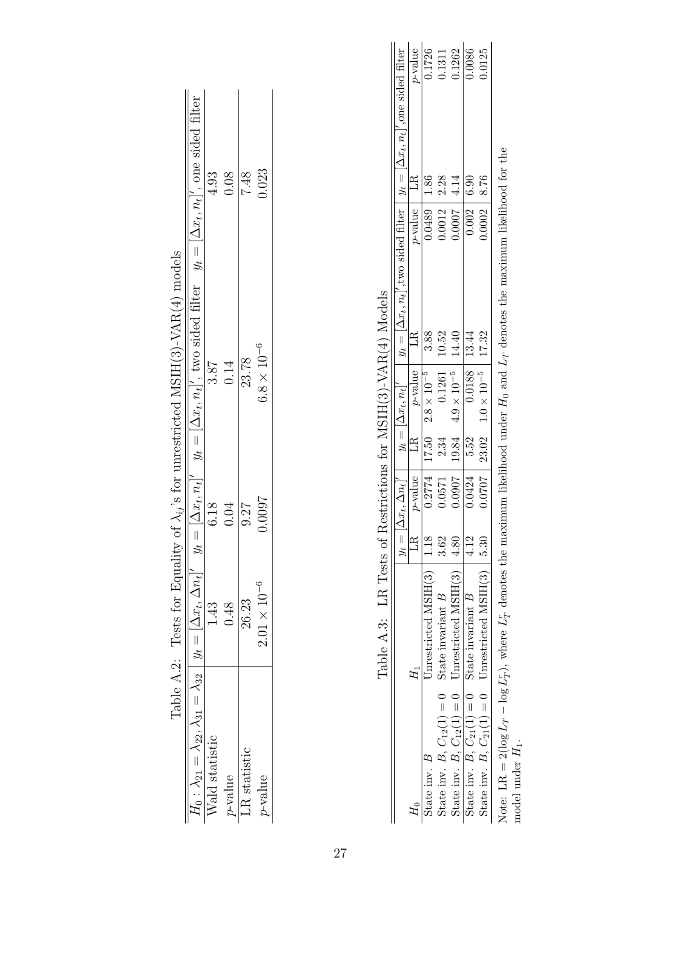|                                                                      |                                                                                                                              | $\stackrel{4.93}{\scriptstyle \pm\end{array}$ | 0.08    | 7.48        | 0.23                 |
|----------------------------------------------------------------------|------------------------------------------------------------------------------------------------------------------------------|-----------------------------------------------|---------|-------------|----------------------|
| Equality of $\lambda_{ij}$ 's for unrestricted MSIH(3)-VAR(4) models | $m_t$ $y_t = [\Delta x_t, n_t]'$ $y_t = [\Delta x_t, n_t]'$ , two sided filter $y_t = [\Delta x_t, n_t]'$ , one sided filter | 3.87                                          | 0.14    | 23.78       | $3.8 \times 10^{-6}$ |
|                                                                      |                                                                                                                              | 6.18                                          | 0.04    | 0.27        | 1,000.1              |
| Table A.2: Tests for                                                 |                                                                                                                              |                                               |         | 26.23       | $2.01 \times 10$     |
|                                                                      | $H_0: \lambda_{21} = \lambda_{22}, \lambda_{31} = \lambda_{32}   y_t =  \Delta x_t, \Delta$                                  | Vald statistic                                | p-value | R statistic | yalue-               |

| J<br>י                             |
|------------------------------------|
| ֖֖֖֚֚֚֚֚֚֬<br>j                    |
| I                                  |
| ヽ ーー・ー へいしして<br>I<br>į<br>I        |
| $\frac{1}{2}$<br>ì                 |
| く・トく・ミ<br>J<br>l,<br>į             |
| l                                  |
| $\frac{2}{3}$<br>)                 |
| $\frac{1}{2}$<br>$\frac{1}{2}$     |
| ł<br>$\overline{\phantom{a}}$<br>I |

<span id="page-31-1"></span><span id="page-31-0"></span>

|                                                                                                                                                                                                                                | $\frac{1}{2}$ , $\frac{1}{2}$ , $\frac{1}{2}$ , $\frac{1}{2}$ , $\frac{1}{2}$ , $\frac{1}{2}$ , $\frac{1}{2}$ , $\frac{1}{2}$ |              |            |      |                                                 |                                                                                                                                                          |                |            |
|--------------------------------------------------------------------------------------------------------------------------------------------------------------------------------------------------------------------------------|-------------------------------------------------------------------------------------------------------------------------------|--------------|------------|------|-------------------------------------------------|----------------------------------------------------------------------------------------------------------------------------------------------------------|----------------|------------|
|                                                                                                                                                                                                                                |                                                                                                                               |              |            |      |                                                 | $y_t = [\Delta x_t, \Delta n_t]'$ $y_t = [\Delta x_t, n_t]'$ $y_t = [\Delta x_t, n_t]'$ , two sided filter $y_t = [\Delta x_t, n_t]'$ , one sided filter |                |            |
|                                                                                                                                                                                                                                |                                                                                                                               | $\mathbb{E}$ | $p$ -value | LR   | $p$ -value                                      | $p$ -value<br>LR                                                                                                                                         | LR             | $p$ -value |
| State inv. B                                                                                                                                                                                                                   | $J$ nrestricted MSIH $(3)$                                                                                                    | 1.18         |            |      | $0.2774$   17.50 $2.8 \times 10^{-5}$           | 3.88                                                                                                                                                     | 1.86<br>0.0489 | 0.1726     |
| State inv. B, $C_{12}(1) = 0$ State invariant B                                                                                                                                                                                |                                                                                                                               | 3.62         | 0.0571     | 2.34 | 0.1261                                          | 0.0012<br>10.52                                                                                                                                          | 2.28           | 0.1311     |
| State inv. B, $C_{12}(1) = 0$ Unrestricted MSIH(3)                                                                                                                                                                             |                                                                                                                               | 4.80         |            |      | $0.0907$   19.84 4.9 × 10 <sup>-5</sup>   14.40 | 10007                                                                                                                                                    | 4.14           | 0.1262     |
| State inv. B, $C_{21}(1) = 0$ State invariant B                                                                                                                                                                                |                                                                                                                               | 4.12         | 0.0424     | 5.52 | $0.0188$   13.44                                | 0.002                                                                                                                                                    | 6.90           | 0.0086     |
| State inv. B, $C_{21}(1) = 0$ Unrestricted MSIH(3)                                                                                                                                                                             |                                                                                                                               | 5.30         |            |      | $0.0707$   23.02 $1.0 \times 10^{-5}$   17.32   |                                                                                                                                                          | 8.76<br>0.0002 | 0.0125     |
| Net and the International International Income including the contract on $I$ and $I$ and $I$ and $I$ and $I$ and $I$ and $I$ and $I$ and $I$ and $I$ and $I$ and $I$ and $I$ and $I$ and $I$ and $I$ and $I$ and $I$ and $I$ a |                                                                                                                               |              |            |      |                                                 |                                                                                                                                                          |                |            |

log  $L_T^r$ ), where  $L_T^r$  denotes the maximum likelihood under  $H_0$  and  $L_T$  denotes the maximum likelihood for the Note: LR = 2(log  $L_T$  – log  $L_T^2$ ), where  $L_T^2$  denotes the maximum likelihood under  $H_0$  and  $L_T$  denotes the maximum likelihood for the  $\frac{1}{\text{Note: LR}} = 2(\log L_T - \log L_T - \log L_T - \log L_T)$ model under  $H_1$ .

27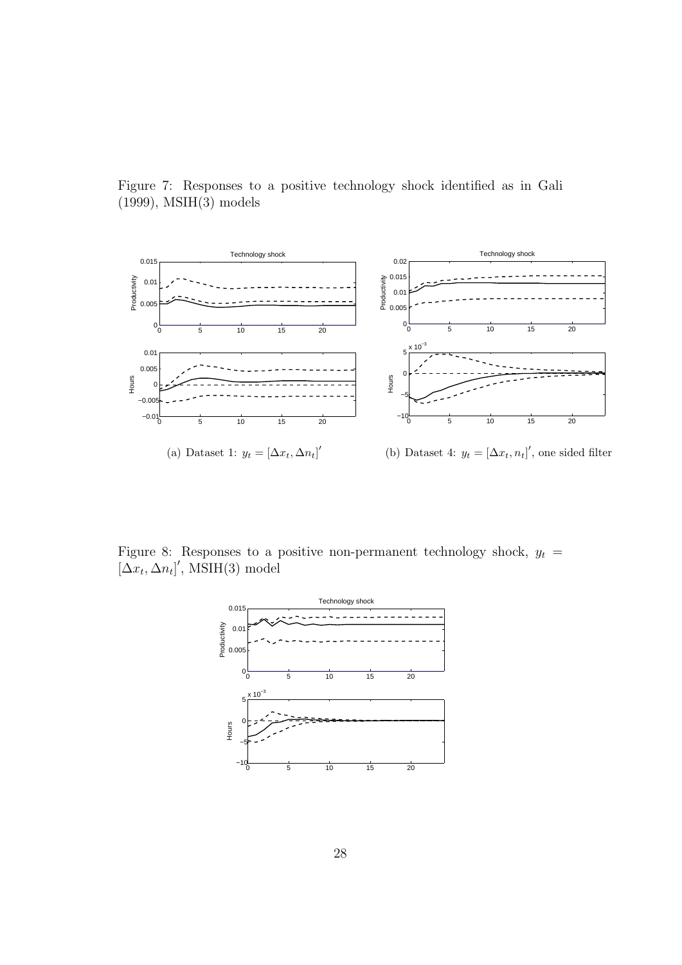<span id="page-32-0"></span>Figure 7: Responses to a positive technology shock identified as in Gali (1999), MSIH(3) models



Figure 8: Responses to a positive non-permanent technology shock,  $y_t =$  $[\Delta x_t, \Delta n_t]'$ , MSIH(3) model